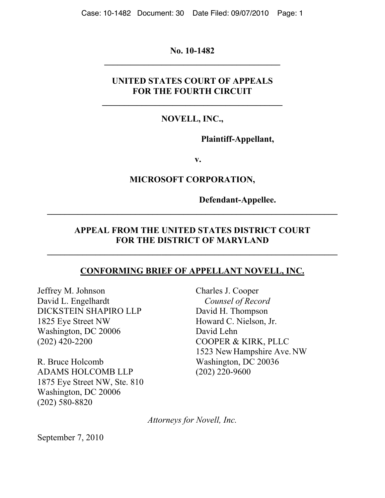**No. 10-1482 \_\_\_\_\_\_\_\_\_\_\_\_\_\_\_\_\_\_\_\_\_\_\_\_\_\_\_\_\_\_\_\_\_\_\_\_\_\_\_\_** 

# **UNITED STATES COURT OF APPEALS FOR THE FOURTH CIRCUIT**

# **NOVELL, INC.,**

**Plaintiff-Appellant,** 

**v.** 

## **MICROSOFT CORPORATION,**

**Defendant-Appellee.** 

# **APPEAL FROM THE UNITED STATES DISTRICT COURT FOR THE DISTRICT OF MARYLAND**

**\_\_\_\_\_\_\_\_\_\_\_\_\_\_\_\_\_\_\_\_\_\_\_\_\_\_\_\_\_\_\_\_\_\_\_\_\_\_\_\_\_\_\_\_\_\_\_\_\_\_\_\_\_\_\_\_\_\_\_\_\_\_\_\_\_\_** 

**\_\_\_\_\_\_\_\_\_\_\_\_\_\_\_\_\_\_\_\_\_\_\_\_\_\_\_\_\_\_\_\_\_\_\_\_\_\_\_\_\_\_\_\_\_\_\_\_\_\_\_\_\_\_\_\_\_\_\_\_\_\_\_\_\_\_** 

## **CONFORMING BRIEF OF APPELLANT NOVELL, INC.**

Jeffrey M. Johnson David L. Engelhardt DICKSTEIN SHAPIRO LLP 1825 Eye Street NW Washington, DC 20006 (202) 420-2200

R. Bruce Holcomb ADAMS HOLCOMB LLP 1875 Eye Street NW, Ste. 810 Washington, DC 20006 (202) 580-8820

Charles J. Cooper  *Counsel of Record*  David H. Thompson Howard C. Nielson, Jr. David Lehn COOPER & KIRK, PLLC 1523 NewHampshire Ave. NW Washington, DC 20036 (202) 220-9600

*Attorneys for Novell, Inc.*

September 7, 2010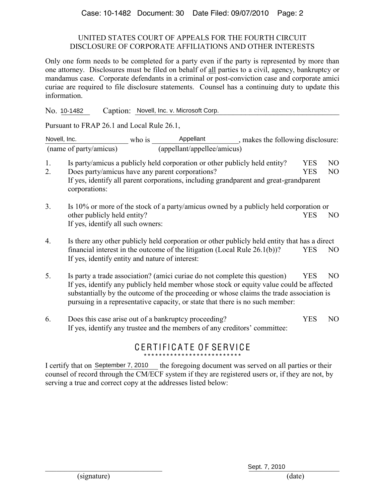#### UNITED STATES COURT OF APPEALS FOR THE FOURTH CIRCUIT DISCLOSURE OF CORPORATE AFFILIATIONS AND OTHER INTERESTS

Only one form needs to be completed for a party even if the party is represented by more than one attorney. Disclosures must be filed on behalf of all parties to a civil, agency, bankruptcy or mandamus case. Corporate defendants in a criminal or post-conviction case and corporate amici curiae are required to file disclosure statements. Counsel has a continuing duty to update this information.

No. 10-1482 Caption: Novell, Inc. v. Microsoft Corp.

Pursuant to FRAP 26.1 and Local Rule 26.1,

Novell, Inc.  $\Box$  who is  $\Box$  Appellant  $\Box$ , makes the following disclosure: (name of party/amicus) (appellant/appellee/amicus) who is

- 1. Is party/amicus a publicly held corporation or other publicly held entity?  $\triangledown$  YES NO
- 2. Does party/amicus have any parent corporations? If yes, identify all parent corporations, including grandparent and great-grandparent corporations: YES<sub>V</sub><sub>NO</sub>
- 3. Is 10% or more of the stock of a party/amicus owned by a publicly held corporation or other publicly held entity? If yes, identify all such owners:  $T$  YES  $\overline{V}$  NO
- 4. Is there any other publicly held corporation or other publicly held entity that has a direct financial interest in the outcome of the litigation (Local Rule  $26.1(b)$ )? If yes, identify entity and nature of interest:  $\Box$ YES $\nabla$ NO
- 5. Is party a trade association? (amici curiae do not complete this question)  $\Box$  YES  $\neg$  NO If yes, identify any publicly held member whose stock or equity value could be affected substantially by the outcome of the proceeding or whose claims the trade association is pursuing in a representative capacity, or state that there is no such member:
- 6. Does this case arise out of a bankruptcy proceeding? If yes, identify any trustee and the members of any creditors' committee:  $T<sub>YES</sub>  $\overline{V}$  <sub>NO</sub>$

# CERTIFICATE OF SERVICE \*\*\*\*\*\*\*\*\*\*\*\*\*\*\*\*\*\*\*\*\*\*\*\*\*\*

I certify that on September 7, 2010 the foregoing document was served on all parties or their counsel of record through the CM/ECF system if they are registered users or, if they are not, by serving a true and correct copy at the addresses listed below: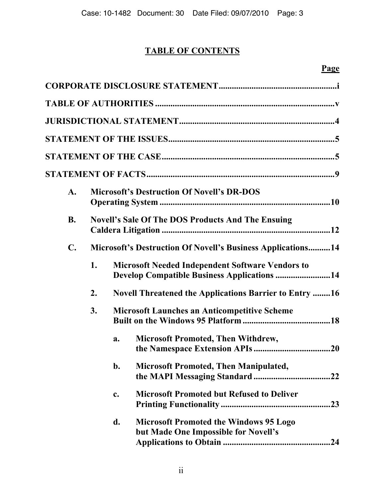# **TABLE OF CONTENTS**

| $\mathbf{A}$ . |    |    | <b>Microsoft's Destruction Of Novell's DR-DOS</b>                                                             |  |  |
|----------------|----|----|---------------------------------------------------------------------------------------------------------------|--|--|
| <b>B.</b>      |    |    | <b>Novell's Sale Of The DOS Products And The Ensuing</b>                                                      |  |  |
| $\mathbf{C}$ . |    |    | <b>Microsoft's Destruction Of Novell's Business Applications14</b>                                            |  |  |
|                | 1. |    | <b>Microsoft Needed Independent Software Vendors to</b><br><b>Develop Compatible Business Applications 14</b> |  |  |
|                | 2. |    | <b>Novell Threatened the Applications Barrier to Entry 16</b>                                                 |  |  |
|                | 3. |    | <b>Microsoft Launches an Anticompetitive Scheme</b>                                                           |  |  |
|                |    | a. | <b>Microsoft Promoted, Then Withdrew,</b>                                                                     |  |  |
|                |    | b. | <b>Microsoft Promoted, Then Manipulated,</b>                                                                  |  |  |
|                |    | c. | <b>Microsoft Promoted but Refused to Deliver</b><br>.23                                                       |  |  |
|                |    | d. | <b>Microsoft Promoted the Windows 95 Logo</b><br>but Made One Impossible for Novell's<br>24                   |  |  |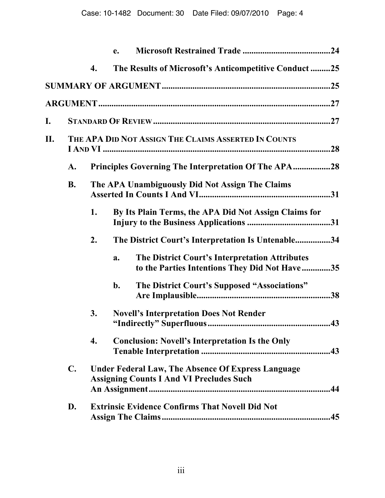|    |                |    | e.                                                                                                           |     |
|----|----------------|----|--------------------------------------------------------------------------------------------------------------|-----|
|    |                | 4. | The Results of Microsoft's Anticompetitive Conduct25                                                         |     |
|    |                |    |                                                                                                              |     |
|    |                |    |                                                                                                              |     |
| I. |                |    |                                                                                                              |     |
| Η. |                |    | THE APA DID NOT ASSIGN THE CLAIMS ASSERTED IN COUNTS                                                         |     |
|    | A.             |    | <b>Principles Governing The Interpretation Of The APA28</b>                                                  |     |
|    | <b>B.</b>      |    | The APA Unambiguously Did Not Assign The Claims                                                              |     |
|    |                | 1. | By Its Plain Terms, the APA Did Not Assign Claims for                                                        |     |
|    |                | 2. | The District Court's Interpretation Is Untenable34                                                           |     |
|    |                |    | The District Court's Interpretation Attributes<br>a.<br>to the Parties Intentions They Did Not Have35        |     |
|    |                |    | The District Court's Supposed "Associations"<br>$b$ .                                                        |     |
|    |                | 3. | <b>Novell's Interpretation Does Not Render</b>                                                               | 43  |
|    |                | 4. | <b>Conclusion: Novell's Interpretation Is the Only</b>                                                       |     |
|    | $\mathbf{C}$ . |    | <b>Under Federal Law, The Absence Of Express Language</b><br><b>Assigning Counts I And VI Precludes Such</b> |     |
|    | D.             |    | <b>Extrinsic Evidence Confirms That Novell Did Not</b>                                                       | .45 |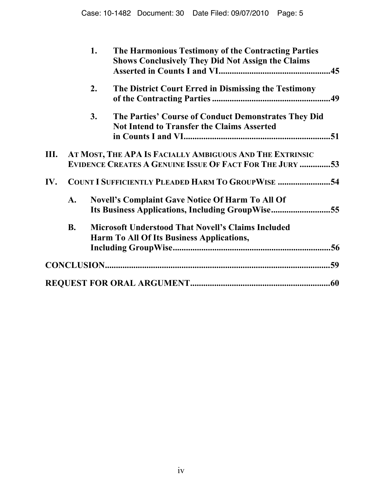|     |                | 1. | The Harmonious Testimony of the Contracting Parties<br><b>Shows Conclusively They Did Not Assign the Claims</b>             | .45 |
|-----|----------------|----|-----------------------------------------------------------------------------------------------------------------------------|-----|
|     |                | 2. | The District Court Erred in Dismissing the Testimony                                                                        |     |
|     |                | 3. | The Parties' Course of Conduct Demonstrates They Did<br><b>Not Intend to Transfer the Claims Asserted</b>                   |     |
| Ш.  |                |    | AT MOST, THE APA IS FACIALLY AMBIGUOUS AND THE EXTRINSIC<br><b>EVIDENCE CREATES A GENUINE ISSUE OF FACT FOR THE JURY 53</b> |     |
| IV. |                |    | <b>COUNT I SUFFICIENTLY PLEADED HARM TO GROUPWISE 54</b>                                                                    |     |
|     | $\mathbf{A}$ . |    | <b>Novell's Complaint Gave Notice Of Harm To All Of</b><br>Its Business Applications, Including GroupWise55                 |     |
|     | <b>B.</b>      |    | <b>Microsoft Understood That Novell's Claims Included</b><br>Harm To All Of Its Business Applications,                      |     |
|     |                |    |                                                                                                                             |     |
|     |                |    |                                                                                                                             |     |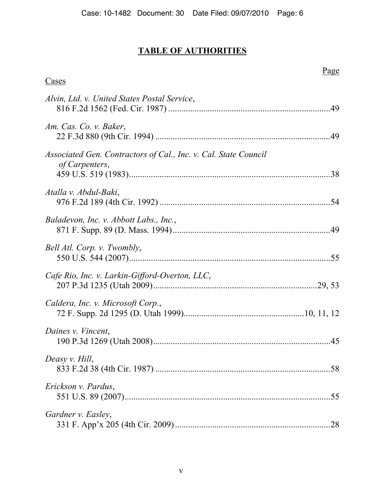# **TABLE OF AUTHORITIES**

| Cases                                                                             | Page |
|-----------------------------------------------------------------------------------|------|
|                                                                                   |      |
| Alvin, Ltd. v. United States Postal Service,                                      |      |
| Am. Cas. Co. v. Baker,                                                            |      |
| Associated Gen. Contractors of Cal., Inc. v. Cal. State Council<br>of Carpenters, |      |
| Atalla v. Abdul-Baki,                                                             |      |
| Baladevon, Inc. v. Abbott Labs., Inc.,                                            |      |
| Bell Atl. Corp. v. Twombly,                                                       |      |
| Cafe Rio, Inc. v. Larkin-Gifford-Overton, LLC,                                    |      |
| Caldera, Inc. v. Microsoft Corp.,                                                 |      |
| Daines v. Vincent,                                                                |      |
| Deasy v. Hill,                                                                    |      |
| Erickson v. Pardus,                                                               | .55  |
| Gardner v. Easley,                                                                |      |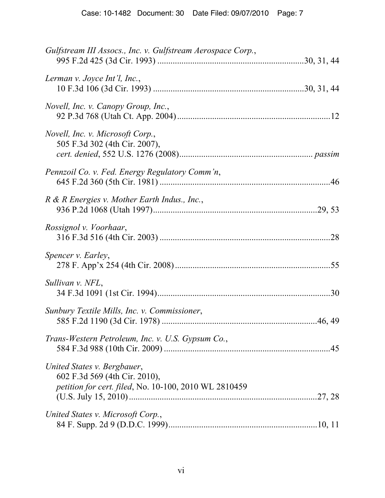| Gulfstream III Assocs., Inc. v. Gulfstream Aerospace Corp.,                                                           |  |
|-----------------------------------------------------------------------------------------------------------------------|--|
| Lerman v. Joyce Int'l, Inc.,                                                                                          |  |
| Novell, Inc. v. Canopy Group, Inc.,                                                                                   |  |
| Novell, Inc. v. Microsoft Corp.,<br>505 F.3d 302 (4th Cir. 2007),                                                     |  |
| Pennzoil Co. v. Fed. Energy Regulatory Comm'n,                                                                        |  |
| R & R Energies v. Mother Earth Indus., Inc.,                                                                          |  |
| Rossignol v. Voorhaar,                                                                                                |  |
| Spencer v. Earley,                                                                                                    |  |
| Sullivan v. NFL,                                                                                                      |  |
| Sunbury Textile Mills, Inc. v. Commissioner,                                                                          |  |
| Trans-Western Petroleum, Inc. v. U.S. Gypsum Co.,                                                                     |  |
| United States v. Bergbauer,<br>602 F.3d 569 (4th Cir. 2010),<br>petition for cert. filed, No. 10-100, 2010 WL 2810459 |  |
| United States v. Microsoft Corp.,                                                                                     |  |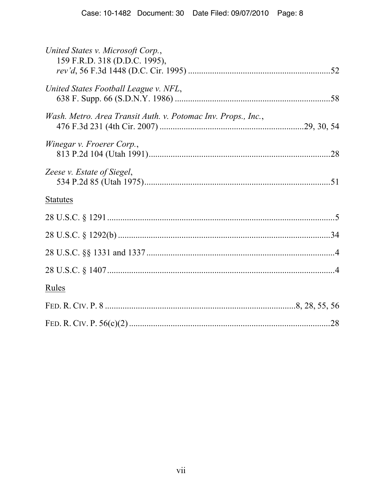| United States v. Microsoft Corp.,<br>159 F.R.D. 318 (D.D.C. 1995), |  |
|--------------------------------------------------------------------|--|
| United States Football League v. NFL,                              |  |
| Wash. Metro. Area Transit Auth. v. Potomac Inv. Props., Inc.,      |  |
| Winegar v. Froerer Corp.,                                          |  |
| Zeese v. Estate of Siegel,                                         |  |
| <b>Statutes</b>                                                    |  |
|                                                                    |  |
|                                                                    |  |
|                                                                    |  |
|                                                                    |  |
| Rules                                                              |  |
|                                                                    |  |
|                                                                    |  |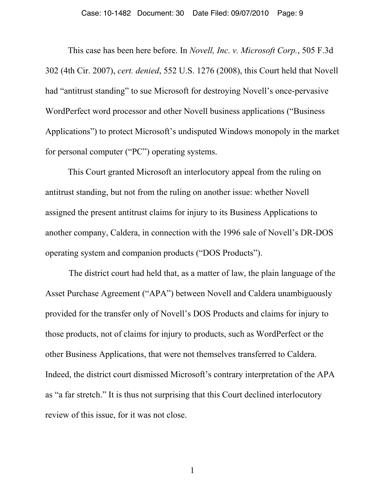This case has been here before. In *Novell, Inc. v. Microsoft Corp.*, 505 F.3d 302 (4th Cir. 2007), *cert. denied*, 552 U.S. 1276 (2008), this Court held that Novell had "antitrust standing" to sue Microsoft for destroying Novell's once-pervasive WordPerfect word processor and other Novell business applications ("Business Applications") to protect Microsoft's undisputed Windows monopoly in the market for personal computer ("PC") operating systems.

This Court granted Microsoft an interlocutory appeal from the ruling on antitrust standing, but not from the ruling on another issue: whether Novell assigned the present antitrust claims for injury to its Business Applications to another company, Caldera, in connection with the 1996 sale of Novell's DR-DOS operating system and companion products ("DOS Products").

The district court had held that, as a matter of law, the plain language of the Asset Purchase Agreement ("APA") between Novell and Caldera unambiguously provided for the transfer only of Novell's DOS Products and claims for injury to those products, not of claims for injury to products, such as WordPerfect or the other Business Applications, that were not themselves transferred to Caldera. Indeed, the district court dismissed Microsoft's contrary interpretation of the APA as "a far stretch." It is thus not surprising that this Court declined interlocutory review of this issue, for it was not close.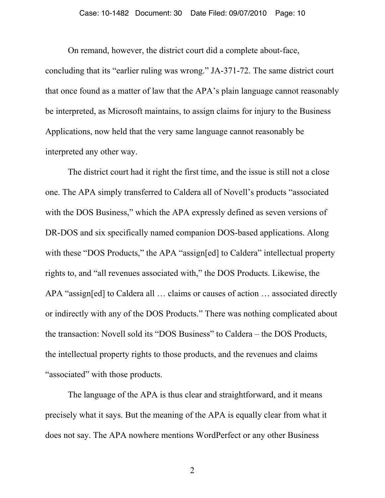On remand, however, the district court did a complete about-face,

concluding that its "earlier ruling was wrong." JA-371-72. The same district court that once found as a matter of law that the APA's plain language cannot reasonably be interpreted, as Microsoft maintains, to assign claims for injury to the Business Applications, now held that the very same language cannot reasonably be interpreted any other way.

The district court had it right the first time, and the issue is still not a close one. The APA simply transferred to Caldera all of Novell's products "associated with the DOS Business," which the APA expressly defined as seven versions of DR-DOS and six specifically named companion DOS-based applications. Along with these "DOS Products," the APA "assign[ed] to Caldera" intellectual property rights to, and "all revenues associated with," the DOS Products. Likewise, the APA "assign[ed] to Caldera all … claims or causes of action … associated directly or indirectly with any of the DOS Products." There was nothing complicated about the transaction: Novell sold its "DOS Business" to Caldera – the DOS Products, the intellectual property rights to those products, and the revenues and claims "associated" with those products.

The language of the APA is thus clear and straightforward, and it means precisely what it says. But the meaning of the APA is equally clear from what it does not say. The APA nowhere mentions WordPerfect or any other Business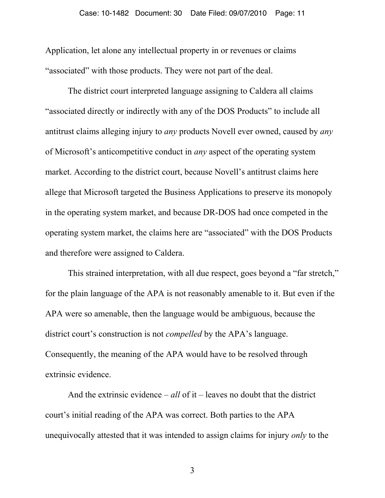Application, let alone any intellectual property in or revenues or claims "associated" with those products. They were not part of the deal.

The district court interpreted language assigning to Caldera all claims "associated directly or indirectly with any of the DOS Products" to include all antitrust claims alleging injury to *any* products Novell ever owned, caused by *any* of Microsoft's anticompetitive conduct in *any* aspect of the operating system market. According to the district court, because Novell's antitrust claims here allege that Microsoft targeted the Business Applications to preserve its monopoly in the operating system market, and because DR-DOS had once competed in the operating system market, the claims here are "associated" with the DOS Products and therefore were assigned to Caldera.

This strained interpretation, with all due respect, goes beyond a "far stretch," for the plain language of the APA is not reasonably amenable to it. But even if the APA were so amenable, then the language would be ambiguous, because the district court's construction is not *compelled* by the APA's language. Consequently, the meaning of the APA would have to be resolved through extrinsic evidence.

And the extrinsic evidence – *all* of it – leaves no doubt that the district court's initial reading of the APA was correct. Both parties to the APA unequivocally attested that it was intended to assign claims for injury *only* to the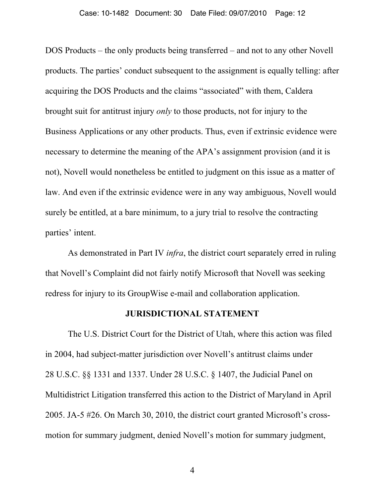DOS Products – the only products being transferred – and not to any other Novell products. The parties' conduct subsequent to the assignment is equally telling: after acquiring the DOS Products and the claims "associated" with them, Caldera brought suit for antitrust injury *only* to those products, not for injury to the Business Applications or any other products. Thus, even if extrinsic evidence were necessary to determine the meaning of the APA's assignment provision (and it is not), Novell would nonetheless be entitled to judgment on this issue as a matter of law. And even if the extrinsic evidence were in any way ambiguous, Novell would surely be entitled, at a bare minimum, to a jury trial to resolve the contracting parties' intent.

As demonstrated in Part IV *infra*, the district court separately erred in ruling that Novell's Complaint did not fairly notify Microsoft that Novell was seeking redress for injury to its GroupWise e-mail and collaboration application.

#### **JURISDICTIONAL STATEMENT**

The U.S. District Court for the District of Utah, where this action was filed in 2004, had subject-matter jurisdiction over Novell's antitrust claims under 28 U.S.C. §§ 1331 and 1337. Under 28 U.S.C. § 1407, the Judicial Panel on Multidistrict Litigation transferred this action to the District of Maryland in April 2005. JA-5 #26. On March 30, 2010, the district court granted Microsoft's crossmotion for summary judgment, denied Novell's motion for summary judgment,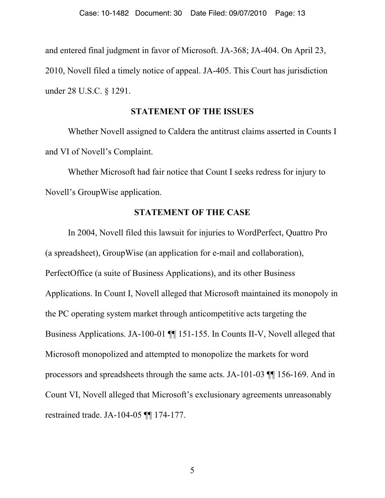and entered final judgment in favor of Microsoft. JA-368; JA-404. On April 23, 2010, Novell filed a timely notice of appeal. JA-405. This Court has jurisdiction under 28 U.S.C. § 1291.

#### **STATEMENT OF THE ISSUES**

Whether Novell assigned to Caldera the antitrust claims asserted in Counts I and VI of Novell's Complaint.

Whether Microsoft had fair notice that Count I seeks redress for injury to Novell's GroupWise application.

# **STATEMENT OF THE CASE**

In 2004, Novell filed this lawsuit for injuries to WordPerfect, Quattro Pro (a spreadsheet), GroupWise (an application for e-mail and collaboration), PerfectOffice (a suite of Business Applications), and its other Business Applications. In Count I, Novell alleged that Microsoft maintained its monopoly in the PC operating system market through anticompetitive acts targeting the Business Applications. JA-100-01 ¶¶ 151-155. In Counts II-V, Novell alleged that Microsoft monopolized and attempted to monopolize the markets for word processors and spreadsheets through the same acts. JA-101-03 ¶¶ 156-169. And in Count VI, Novell alleged that Microsoft's exclusionary agreements unreasonably restrained trade. JA-104-05 ¶¶ 174-177.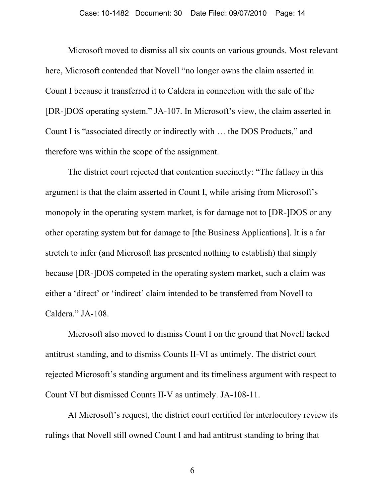Microsoft moved to dismiss all six counts on various grounds. Most relevant here, Microsoft contended that Novell "no longer owns the claim asserted in Count I because it transferred it to Caldera in connection with the sale of the [DR-]DOS operating system." JA-107. In Microsoft's view, the claim asserted in Count I is "associated directly or indirectly with … the DOS Products," and therefore was within the scope of the assignment.

The district court rejected that contention succinctly: "The fallacy in this argument is that the claim asserted in Count I, while arising from Microsoft's monopoly in the operating system market, is for damage not to [DR-]DOS or any other operating system but for damage to [the Business Applications]. It is a far stretch to infer (and Microsoft has presented nothing to establish) that simply because [DR-]DOS competed in the operating system market, such a claim was either a 'direct' or 'indirect' claim intended to be transferred from Novell to Caldera." JA-108.

Microsoft also moved to dismiss Count I on the ground that Novell lacked antitrust standing, and to dismiss Counts II-VI as untimely. The district court rejected Microsoft's standing argument and its timeliness argument with respect to Count VI but dismissed Counts II-V as untimely. JA-108-11.

At Microsoft's request, the district court certified for interlocutory review its rulings that Novell still owned Count I and had antitrust standing to bring that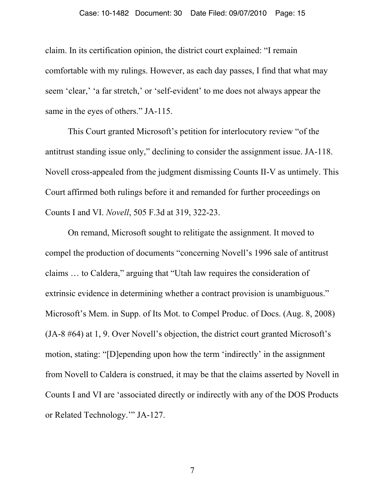#### Case: 10-1482 Document: 30 Date Filed: 09/07/2010 Page: 15

claim. In its certification opinion, the district court explained: "I remain comfortable with my rulings. However, as each day passes, I find that what may seem 'clear,' 'a far stretch,' or 'self-evident' to me does not always appear the same in the eyes of others." JA-115.

This Court granted Microsoft's petition for interlocutory review "of the antitrust standing issue only," declining to consider the assignment issue. JA-118. Novell cross-appealed from the judgment dismissing Counts II-V as untimely. This Court affirmed both rulings before it and remanded for further proceedings on Counts I and VI. *Novell*, 505 F.3d at 319, 322-23.

On remand, Microsoft sought to relitigate the assignment. It moved to compel the production of documents "concerning Novell's 1996 sale of antitrust claims … to Caldera," arguing that "Utah law requires the consideration of extrinsic evidence in determining whether a contract provision is unambiguous." Microsoft's Mem. in Supp. of Its Mot. to Compel Produc. of Docs. (Aug. 8, 2008) (JA-8 #64) at 1, 9. Over Novell's objection, the district court granted Microsoft's motion, stating: "[D]epending upon how the term 'indirectly' in the assignment from Novell to Caldera is construed, it may be that the claims asserted by Novell in Counts I and VI are 'associated directly or indirectly with any of the DOS Products or Related Technology.'" JA-127.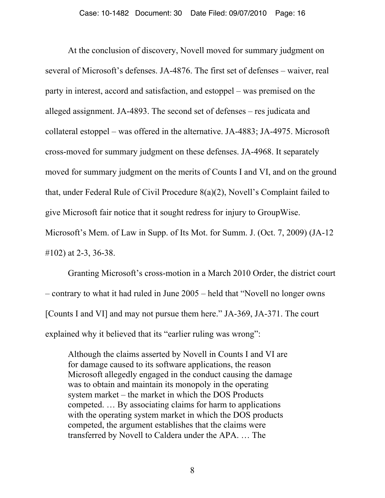At the conclusion of discovery, Novell moved for summary judgment on several of Microsoft's defenses. JA-4876. The first set of defenses – waiver, real party in interest, accord and satisfaction, and estoppel – was premised on the alleged assignment. JA-4893. The second set of defenses – res judicata and collateral estoppel – was offered in the alternative. JA-4883; JA-4975. Microsoft cross-moved for summary judgment on these defenses. JA-4968. It separately moved for summary judgment on the merits of Counts I and VI, and on the ground that, under Federal Rule of Civil Procedure 8(a)(2), Novell's Complaint failed to give Microsoft fair notice that it sought redress for injury to GroupWise. Microsoft's Mem. of Law in Supp. of Its Mot. for Summ. J. (Oct. 7, 2009) (JA-12

#102) at 2-3, 36-38.

Granting Microsoft's cross-motion in a March 2010 Order, the district court – contrary to what it had ruled in June 2005 – held that "Novell no longer owns [Counts I and VI] and may not pursue them here." JA-369, JA-371. The court explained why it believed that its "earlier ruling was wrong":

Although the claims asserted by Novell in Counts I and VI are for damage caused to its software applications, the reason Microsoft allegedly engaged in the conduct causing the damage was to obtain and maintain its monopoly in the operating system market – the market in which the DOS Products competed. … By associating claims for harm to applications with the operating system market in which the DOS products competed, the argument establishes that the claims were transferred by Novell to Caldera under the APA. … The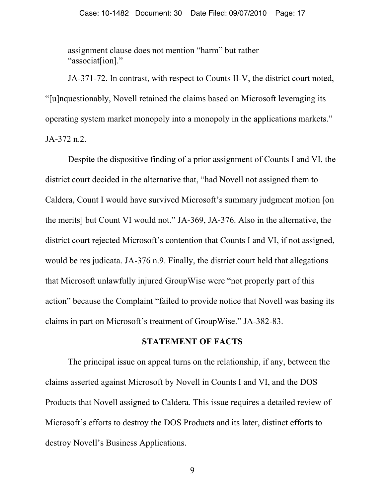assignment clause does not mention "harm" but rather "associat[ion]."

JA-371-72. In contrast, with respect to Counts II-V, the district court noted, "[u]nquestionably, Novell retained the claims based on Microsoft leveraging its operating system market monopoly into a monopoly in the applications markets." JA-372 n.2.

Despite the dispositive finding of a prior assignment of Counts I and VI, the district court decided in the alternative that, "had Novell not assigned them to Caldera, Count I would have survived Microsoft's summary judgment motion [on the merits] but Count VI would not." JA-369, JA-376. Also in the alternative, the district court rejected Microsoft's contention that Counts I and VI, if not assigned, would be res judicata. JA-376 n.9. Finally, the district court held that allegations that Microsoft unlawfully injured GroupWise were "not properly part of this action" because the Complaint "failed to provide notice that Novell was basing its claims in part on Microsoft's treatment of GroupWise." JA-382-83.

#### **STATEMENT OF FACTS**

The principal issue on appeal turns on the relationship, if any, between the claims asserted against Microsoft by Novell in Counts I and VI, and the DOS Products that Novell assigned to Caldera. This issue requires a detailed review of Microsoft's efforts to destroy the DOS Products and its later, distinct efforts to destroy Novell's Business Applications.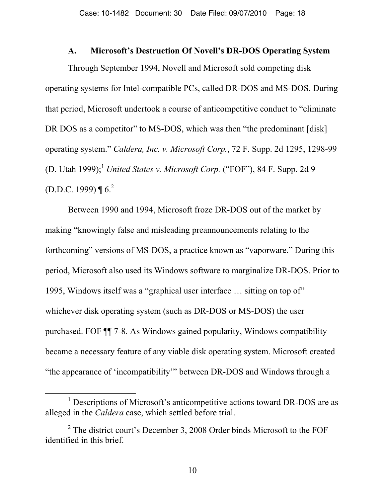#### **A. Microsoft's Destruction Of Novell's DR-DOS Operating System**

Through September 1994, Novell and Microsoft sold competing disk operating systems for Intel-compatible PCs, called DR-DOS and MS-DOS. During that period, Microsoft undertook a course of anticompetitive conduct to "eliminate DR DOS as a competitor" to MS-DOS, which was then "the predominant [disk] operating system." *Caldera, Inc. v. Microsoft Corp.*, 72 F. Supp. 2d 1295, 1298-99 (D. Utah 1999);<sup>1</sup> *United States v. Microsoft Corp.* ("FOF"), 84 F. Supp. 2d 9 (D.D.C. 1999)  $\P 6^2$ 

Between 1990 and 1994, Microsoft froze DR-DOS out of the market by making "knowingly false and misleading preannouncements relating to the forthcoming" versions of MS-DOS, a practice known as "vaporware." During this period, Microsoft also used its Windows software to marginalize DR-DOS. Prior to 1995, Windows itself was a "graphical user interface … sitting on top of" whichever disk operating system (such as DR-DOS or MS-DOS) the user purchased. FOF ¶¶ 7-8. As Windows gained popularity, Windows compatibility became a necessary feature of any viable disk operating system. Microsoft created "the appearance of 'incompatibility'" between DR-DOS and Windows through a

<sup>&</sup>lt;u>1</u>  $\frac{1}{1}$  Descriptions of Microsoft's anticompetitive actions toward DR-DOS are as alleged in the *Caldera* case, which settled before trial.

 $2^2$  The district court's December 3, 2008 Order binds Microsoft to the FOF identified in this brief.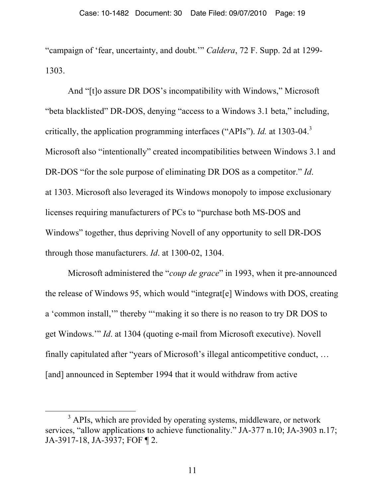"campaign of 'fear, uncertainty, and doubt.'" *Caldera*, 72 F. Supp. 2d at 1299- 1303.

And "[t]o assure DR DOS's incompatibility with Windows," Microsoft "beta blacklisted" DR-DOS, denying "access to a Windows 3.1 beta," including, critically, the application programming interfaces ("APIs"). *Id.* at 1303-04.<sup>3</sup> Microsoft also "intentionally" created incompatibilities between Windows 3.1 and DR-DOS "for the sole purpose of eliminating DR DOS as a competitor." *Id*. at 1303. Microsoft also leveraged its Windows monopoly to impose exclusionary licenses requiring manufacturers of PCs to "purchase both MS-DOS and Windows" together, thus depriving Novell of any opportunity to sell DR-DOS through those manufacturers. *Id*. at 1300-02, 1304.

Microsoft administered the "*coup de grace*" in 1993, when it pre-announced the release of Windows 95, which would "integrat[e] Windows with DOS, creating a 'common install,'" thereby "'making it so there is no reason to try DR DOS to get Windows.'" *Id*. at 1304 (quoting e-mail from Microsoft executive). Novell finally capitulated after "years of Microsoft's illegal anticompetitive conduct, … [and] announced in September 1994 that it would withdraw from active

 $\frac{1}{3}$  $3$  APIs, which are provided by operating systems, middleware, or network services, "allow applications to achieve functionality." JA-377 n.10; JA-3903 n.17; JA-3917-18, JA-3937; FOF ¶ 2.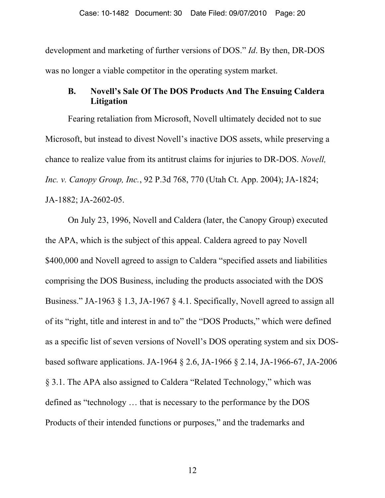development and marketing of further versions of DOS." *Id*. By then, DR-DOS was no longer a viable competitor in the operating system market.

# **B. Novell's Sale Of The DOS Products And The Ensuing Caldera Litigation**

Fearing retaliation from Microsoft, Novell ultimately decided not to sue Microsoft, but instead to divest Novell's inactive DOS assets, while preserving a chance to realize value from its antitrust claims for injuries to DR-DOS. *Novell, Inc. v. Canopy Group, Inc.*, 92 P.3d 768, 770 (Utah Ct. App. 2004); JA-1824; JA-1882; JA-2602-05.

On July 23, 1996, Novell and Caldera (later, the Canopy Group) executed the APA, which is the subject of this appeal. Caldera agreed to pay Novell \$400,000 and Novell agreed to assign to Caldera "specified assets and liabilities comprising the DOS Business, including the products associated with the DOS Business." JA-1963 § 1.3, JA-1967 § 4.1. Specifically, Novell agreed to assign all of its "right, title and interest in and to" the "DOS Products," which were defined as a specific list of seven versions of Novell's DOS operating system and six DOSbased software applications. JA-1964 § 2.6, JA-1966 § 2.14, JA-1966-67, JA-2006 § 3.1. The APA also assigned to Caldera "Related Technology," which was defined as "technology … that is necessary to the performance by the DOS Products of their intended functions or purposes," and the trademarks and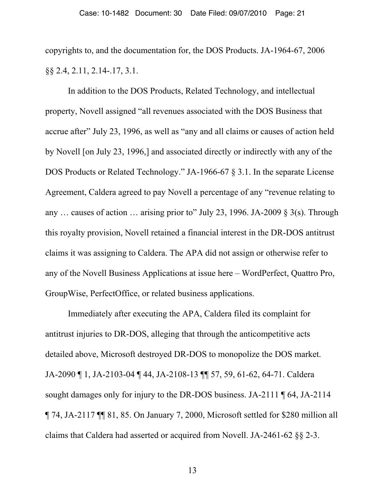copyrights to, and the documentation for, the DOS Products. JA-1964-67, 2006 §§ 2.4, 2.11, 2.14-.17, 3.1.

In addition to the DOS Products, Related Technology, and intellectual property, Novell assigned "all revenues associated with the DOS Business that accrue after" July 23, 1996, as well as "any and all claims or causes of action held by Novell [on July 23, 1996,] and associated directly or indirectly with any of the DOS Products or Related Technology." JA-1966-67 § 3.1. In the separate License Agreement, Caldera agreed to pay Novell a percentage of any "revenue relating to any ... causes of action ... arising prior to" July 23, 1996. JA-2009  $\S$  3(s). Through this royalty provision, Novell retained a financial interest in the DR-DOS antitrust claims it was assigning to Caldera. The APA did not assign or otherwise refer to any of the Novell Business Applications at issue here – WordPerfect, Quattro Pro, GroupWise, PerfectOffice, or related business applications.

Immediately after executing the APA, Caldera filed its complaint for antitrust injuries to DR-DOS, alleging that through the anticompetitive acts detailed above, Microsoft destroyed DR-DOS to monopolize the DOS market. JA-2090 ¶ 1, JA-2103-04 ¶ 44, JA-2108-13 ¶¶ 57, 59, 61-62, 64-71. Caldera sought damages only for injury to the DR-DOS business. JA-2111 ¶ 64, JA-2114 ¶ 74, JA-2117 ¶¶ 81, 85. On January 7, 2000, Microsoft settled for \$280 million all claims that Caldera had asserted or acquired from Novell. JA-2461-62 §§ 2-3.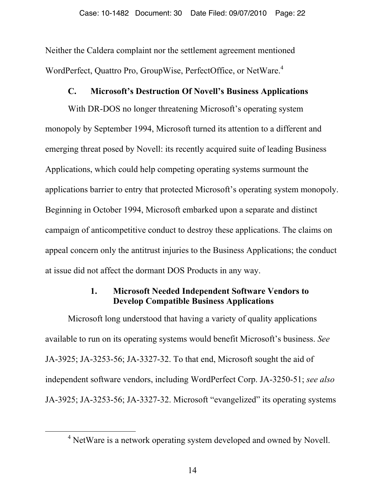Neither the Caldera complaint nor the settlement agreement mentioned WordPerfect, Quattro Pro, GroupWise, PerfectOffice, or NetWare.<sup>4</sup>

# **C. Microsoft's Destruction Of Novell's Business Applications**

With DR-DOS no longer threatening Microsoft's operating system monopoly by September 1994, Microsoft turned its attention to a different and emerging threat posed by Novell: its recently acquired suite of leading Business Applications, which could help competing operating systems surmount the applications barrier to entry that protected Microsoft's operating system monopoly. Beginning in October 1994, Microsoft embarked upon a separate and distinct campaign of anticompetitive conduct to destroy these applications. The claims on appeal concern only the antitrust injuries to the Business Applications; the conduct at issue did not affect the dormant DOS Products in any way.

# **1. Microsoft Needed Independent Software Vendors to Develop Compatible Business Applications**

Microsoft long understood that having a variety of quality applications available to run on its operating systems would benefit Microsoft's business. *See* JA-3925; JA-3253-56; JA-3327-32. To that end, Microsoft sought the aid of independent software vendors, including WordPerfect Corp. JA-3250-51; *see also* JA-3925; JA-3253-56; JA-3327-32. Microsoft "evangelized" its operating systems

 $\overline{4}$ <sup>4</sup> NetWare is a network operating system developed and owned by Novell.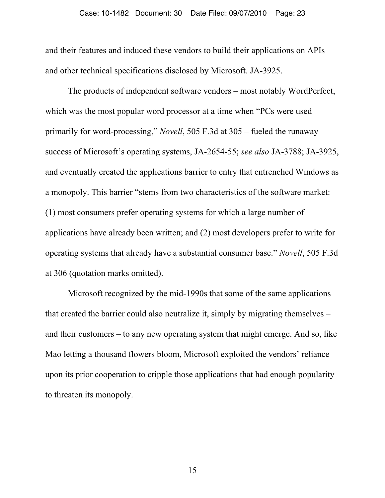and their features and induced these vendors to build their applications on APIs and other technical specifications disclosed by Microsoft. JA-3925.

The products of independent software vendors – most notably WordPerfect, which was the most popular word processor at a time when "PCs were used primarily for word-processing," *Novell*, 505 F.3d at 305 – fueled the runaway success of Microsoft's operating systems, JA-2654-55; *see also* JA-3788; JA-3925, and eventually created the applications barrier to entry that entrenched Windows as a monopoly. This barrier "stems from two characteristics of the software market: (1) most consumers prefer operating systems for which a large number of applications have already been written; and (2) most developers prefer to write for operating systems that already have a substantial consumer base." *Novell*, 505 F.3d at 306 (quotation marks omitted).

Microsoft recognized by the mid-1990s that some of the same applications that created the barrier could also neutralize it, simply by migrating themselves – and their customers – to any new operating system that might emerge. And so, like Mao letting a thousand flowers bloom, Microsoft exploited the vendors' reliance upon its prior cooperation to cripple those applications that had enough popularity to threaten its monopoly.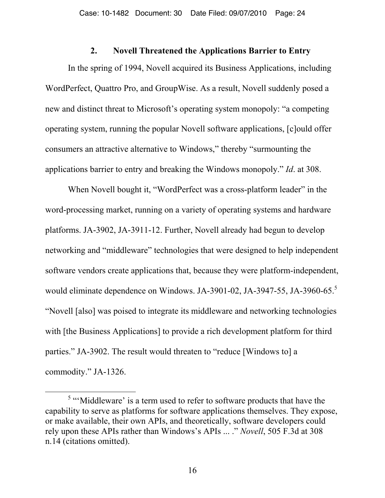#### **2. Novell Threatened the Applications Barrier to Entry**

In the spring of 1994, Novell acquired its Business Applications, including WordPerfect, Quattro Pro, and GroupWise. As a result, Novell suddenly posed a new and distinct threat to Microsoft's operating system monopoly: "a competing operating system, running the popular Novell software applications, [c]ould offer consumers an attractive alternative to Windows," thereby "surmounting the applications barrier to entry and breaking the Windows monopoly." *Id*. at 308.

When Novell bought it, "WordPerfect was a cross-platform leader" in the word-processing market, running on a variety of operating systems and hardware platforms. JA-3902, JA-3911-12. Further, Novell already had begun to develop networking and "middleware" technologies that were designed to help independent software vendors create applications that, because they were platform-independent, would eliminate dependence on Windows. JA-3901-02, JA-3947-55, JA-3960-65.<sup>5</sup> "Novell [also] was poised to integrate its middleware and networking technologies with [the Business Applications] to provide a rich development platform for third parties." JA-3902. The result would threaten to "reduce [Windows to] a commodity." JA-1326.

 $rac{1}{5}$ <sup>5</sup> "'Middleware' is a term used to refer to software products that have the capability to serve as platforms for software applications themselves. They expose, or make available, their own APIs, and theoretically, software developers could rely upon these APIs rather than Windows's APIs ... ." *Novell*, 505 F.3d at 308 n.14 (citations omitted).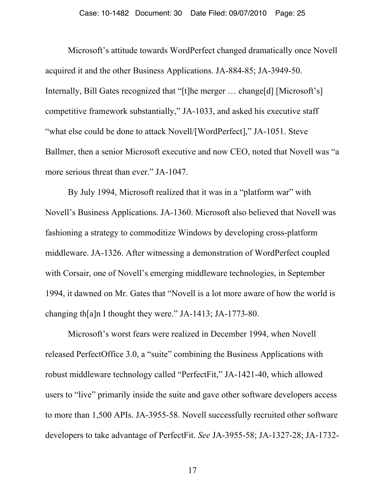Microsoft's attitude towards WordPerfect changed dramatically once Novell acquired it and the other Business Applications. JA-884-85; JA-3949-50. Internally, Bill Gates recognized that "[t]he merger … change[d] [Microsoft's] competitive framework substantially," JA-1033, and asked his executive staff "what else could be done to attack Novell/[WordPerfect]," JA-1051. Steve Ballmer, then a senior Microsoft executive and now CEO, noted that Novell was "a more serious threat than ever." JA-1047.

By July 1994, Microsoft realized that it was in a "platform war" with Novell's Business Applications. JA-1360. Microsoft also believed that Novell was fashioning a strategy to commoditize Windows by developing cross-platform middleware. JA-1326. After witnessing a demonstration of WordPerfect coupled with Corsair, one of Novell's emerging middleware technologies, in September 1994, it dawned on Mr. Gates that "Novell is a lot more aware of how the world is changing th[a]n I thought they were." JA-1413; JA-1773-80.

Microsoft's worst fears were realized in December 1994, when Novell released PerfectOffice 3.0, a "suite" combining the Business Applications with robust middleware technology called "PerfectFit," JA-1421-40, which allowed users to "live" primarily inside the suite and gave other software developers access to more than 1,500 APIs. JA-3955-58. Novell successfully recruited other software developers to take advantage of PerfectFit. *See* JA-3955-58; JA-1327-28; JA-1732-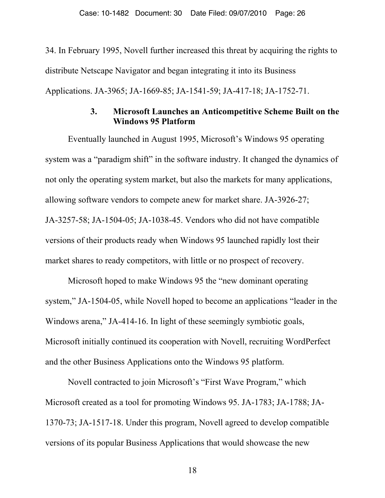34. In February 1995, Novell further increased this threat by acquiring the rights to distribute Netscape Navigator and began integrating it into its Business Applications. JA-3965; JA-1669-85; JA-1541-59; JA-417-18; JA-1752-71.

# **3. Microsoft Launches an Anticompetitive Scheme Built on the Windows 95 Platform**

Eventually launched in August 1995, Microsoft's Windows 95 operating system was a "paradigm shift" in the software industry. It changed the dynamics of not only the operating system market, but also the markets for many applications, allowing software vendors to compete anew for market share. JA-3926-27; JA-3257-58; JA-1504-05; JA-1038-45. Vendors who did not have compatible versions of their products ready when Windows 95 launched rapidly lost their market shares to ready competitors, with little or no prospect of recovery.

Microsoft hoped to make Windows 95 the "new dominant operating system," JA-1504-05, while Novell hoped to become an applications "leader in the Windows arena," JA-414-16. In light of these seemingly symbiotic goals, Microsoft initially continued its cooperation with Novell, recruiting WordPerfect and the other Business Applications onto the Windows 95 platform.

Novell contracted to join Microsoft's "First Wave Program," which Microsoft created as a tool for promoting Windows 95. JA-1783; JA-1788; JA-1370-73; JA-1517-18. Under this program, Novell agreed to develop compatible versions of its popular Business Applications that would showcase the new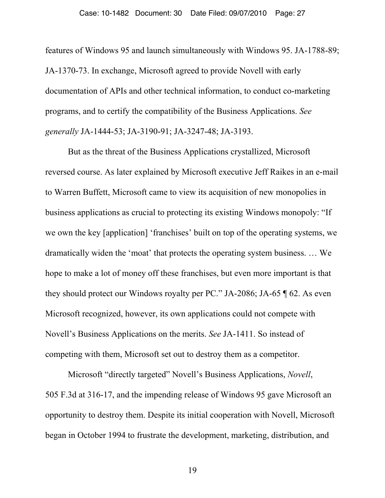features of Windows 95 and launch simultaneously with Windows 95. JA-1788-89; JA-1370-73. In exchange, Microsoft agreed to provide Novell with early documentation of APIs and other technical information, to conduct co-marketing programs, and to certify the compatibility of the Business Applications. *See generally* JA-1444-53; JA-3190-91; JA-3247-48; JA-3193.

But as the threat of the Business Applications crystallized, Microsoft reversed course. As later explained by Microsoft executive Jeff Raikes in an e-mail to Warren Buffett, Microsoft came to view its acquisition of new monopolies in business applications as crucial to protecting its existing Windows monopoly: "If we own the key [application] 'franchises' built on top of the operating systems, we dramatically widen the 'moat' that protects the operating system business. … We hope to make a lot of money off these franchises, but even more important is that they should protect our Windows royalty per PC." JA-2086; JA-65 ¶ 62. As even Microsoft recognized, however, its own applications could not compete with Novell's Business Applications on the merits. *See* JA-1411. So instead of competing with them, Microsoft set out to destroy them as a competitor.

Microsoft "directly targeted" Novell's Business Applications, *Novell*, 505 F.3d at 316-17, and the impending release of Windows 95 gave Microsoft an opportunity to destroy them. Despite its initial cooperation with Novell, Microsoft began in October 1994 to frustrate the development, marketing, distribution, and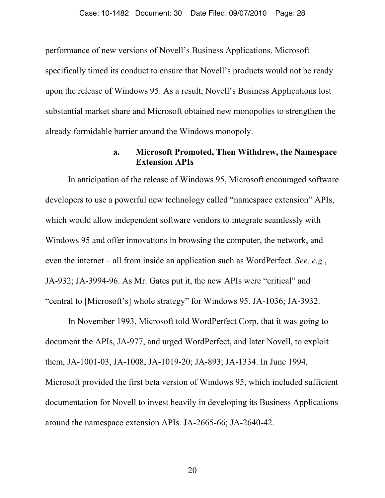performance of new versions of Novell's Business Applications. Microsoft specifically timed its conduct to ensure that Novell's products would not be ready upon the release of Windows 95. As a result, Novell's Business Applications lost substantial market share and Microsoft obtained new monopolies to strengthen the already formidable barrier around the Windows monopoly.

# **a. Microsoft Promoted, Then Withdrew, the Namespace Extension APIs**

In anticipation of the release of Windows 95, Microsoft encouraged software developers to use a powerful new technology called "namespace extension" APIs, which would allow independent software vendors to integrate seamlessly with Windows 95 and offer innovations in browsing the computer, the network, and even the internet – all from inside an application such as WordPerfect. *See, e.g.*, JA-932; JA-3994-96. As Mr. Gates put it, the new APIs were "critical" and "central to [Microsoft's] whole strategy" for Windows 95. JA-1036; JA-3932.

In November 1993, Microsoft told WordPerfect Corp. that it was going to document the APIs, JA-977, and urged WordPerfect, and later Novell, to exploit them, JA-1001-03, JA-1008, JA-1019-20; JA-893; JA-1334. In June 1994, Microsoft provided the first beta version of Windows 95, which included sufficient documentation for Novell to invest heavily in developing its Business Applications around the namespace extension APIs. JA-2665-66; JA-2640-42.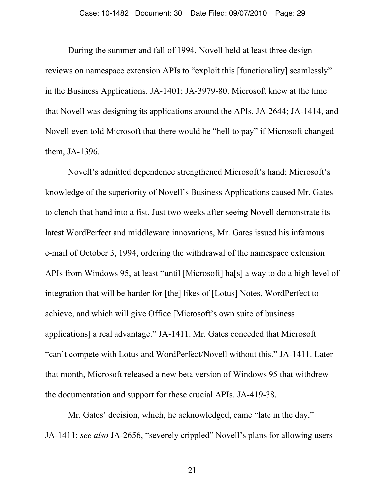During the summer and fall of 1994, Novell held at least three design reviews on namespace extension APIs to "exploit this [functionality] seamlessly" in the Business Applications. JA-1401; JA-3979-80. Microsoft knew at the time that Novell was designing its applications around the APIs, JA-2644; JA-1414, and Novell even told Microsoft that there would be "hell to pay" if Microsoft changed them, JA-1396.

Novell's admitted dependence strengthened Microsoft's hand; Microsoft's knowledge of the superiority of Novell's Business Applications caused Mr. Gates to clench that hand into a fist. Just two weeks after seeing Novell demonstrate its latest WordPerfect and middleware innovations, Mr. Gates issued his infamous e-mail of October 3, 1994, ordering the withdrawal of the namespace extension APIs from Windows 95, at least "until [Microsoft] ha[s] a way to do a high level of integration that will be harder for [the] likes of [Lotus] Notes, WordPerfect to achieve, and which will give Office [Microsoft's own suite of business applications] a real advantage." JA-1411. Mr. Gates conceded that Microsoft "can't compete with Lotus and WordPerfect/Novell without this." JA-1411. Later that month, Microsoft released a new beta version of Windows 95 that withdrew the documentation and support for these crucial APIs. JA-419-38.

Mr. Gates' decision, which, he acknowledged, came "late in the day," JA-1411; *see also* JA-2656, "severely crippled" Novell's plans for allowing users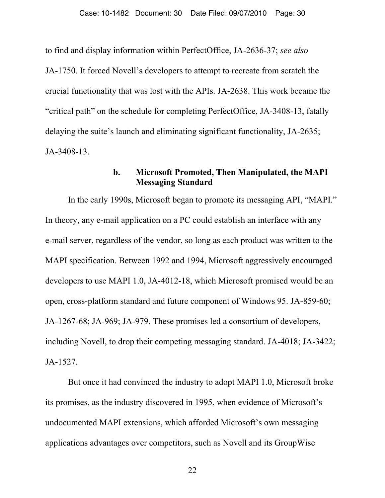to find and display information within PerfectOffice, JA-2636-37; *see also* JA-1750. It forced Novell's developers to attempt to recreate from scratch the crucial functionality that was lost with the APIs. JA-2638. This work became the "critical path" on the schedule for completing PerfectOffice, JA-3408-13, fatally delaying the suite's launch and eliminating significant functionality, JA-2635; JA-3408-13.

### **b. Microsoft Promoted, Then Manipulated, the MAPI Messaging Standard**

In the early 1990s, Microsoft began to promote its messaging API, "MAPI." In theory, any e-mail application on a PC could establish an interface with any e-mail server, regardless of the vendor, so long as each product was written to the MAPI specification. Between 1992 and 1994, Microsoft aggressively encouraged developers to use MAPI 1.0, JA-4012-18, which Microsoft promised would be an open, cross-platform standard and future component of Windows 95. JA-859-60; JA-1267-68; JA-969; JA-979. These promises led a consortium of developers, including Novell, to drop their competing messaging standard. JA-4018; JA-3422; JA-1527.

But once it had convinced the industry to adopt MAPI 1.0, Microsoft broke its promises, as the industry discovered in 1995, when evidence of Microsoft's undocumented MAPI extensions, which afforded Microsoft's own messaging applications advantages over competitors, such as Novell and its GroupWise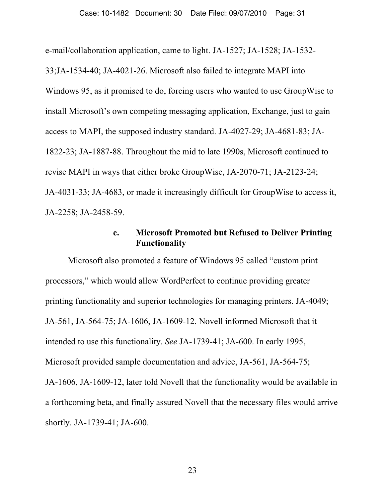e-mail/collaboration application, came to light. JA-1527; JA-1528; JA-1532- 33;JA-1534-40; JA-4021-26. Microsoft also failed to integrate MAPI into Windows 95, as it promised to do, forcing users who wanted to use GroupWise to install Microsoft's own competing messaging application, Exchange, just to gain access to MAPI, the supposed industry standard. JA-4027-29; JA-4681-83; JA-1822-23; JA-1887-88. Throughout the mid to late 1990s, Microsoft continued to revise MAPI in ways that either broke GroupWise, JA-2070-71; JA-2123-24; JA-4031-33; JA-4683, or made it increasingly difficult for GroupWise to access it, JA-2258; JA-2458-59.

# **c. Microsoft Promoted but Refused to Deliver Printing Functionality**

Microsoft also promoted a feature of Windows 95 called "custom print processors," which would allow WordPerfect to continue providing greater printing functionality and superior technologies for managing printers. JA-4049; JA-561, JA-564-75; JA-1606, JA-1609-12. Novell informed Microsoft that it intended to use this functionality. *See* JA-1739-41; JA-600. In early 1995, Microsoft provided sample documentation and advice, JA-561, JA-564-75; JA-1606, JA-1609-12, later told Novell that the functionality would be available in a forthcoming beta, and finally assured Novell that the necessary files would arrive shortly. JA-1739-41; JA-600.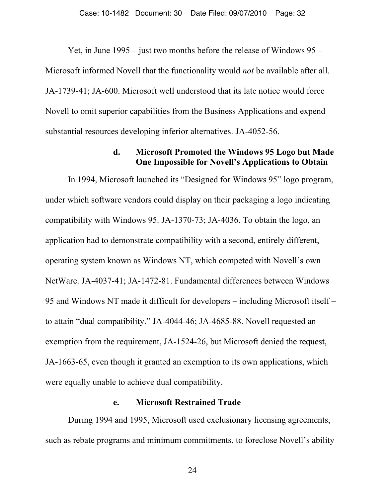Yet, in June 1995 – just two months before the release of Windows 95 – Microsoft informed Novell that the functionality would *not* be available after all. JA-1739-41; JA-600. Microsoft well understood that its late notice would force Novell to omit superior capabilities from the Business Applications and expend substantial resources developing inferior alternatives. JA-4052-56.

## **d. Microsoft Promoted the Windows 95 Logo but Made One Impossible for Novell's Applications to Obtain**

In 1994, Microsoft launched its "Designed for Windows 95" logo program, under which software vendors could display on their packaging a logo indicating compatibility with Windows 95. JA-1370-73; JA-4036. To obtain the logo, an application had to demonstrate compatibility with a second, entirely different, operating system known as Windows NT, which competed with Novell's own NetWare. JA-4037-41; JA-1472-81. Fundamental differences between Windows 95 and Windows NT made it difficult for developers – including Microsoft itself – to attain "dual compatibility." JA-4044-46; JA-4685-88. Novell requested an exemption from the requirement, JA-1524-26, but Microsoft denied the request, JA-1663-65, even though it granted an exemption to its own applications, which were equally unable to achieve dual compatibility.

#### **e. Microsoft Restrained Trade**

During 1994 and 1995, Microsoft used exclusionary licensing agreements, such as rebate programs and minimum commitments, to foreclose Novell's ability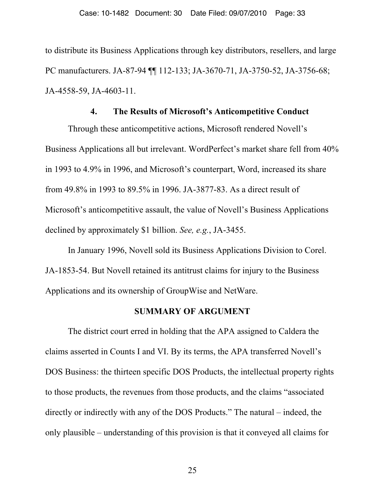to distribute its Business Applications through key distributors, resellers, and large PC manufacturers. JA-87-94 ¶¶ 112-133; JA-3670-71, JA-3750-52, JA-3756-68; JA-4558-59, JA-4603-11.

#### **4. The Results of Microsoft's Anticompetitive Conduct**

Through these anticompetitive actions, Microsoft rendered Novell's Business Applications all but irrelevant. WordPerfect's market share fell from 40% in 1993 to 4.9% in 1996, and Microsoft's counterpart, Word, increased its share from 49.8% in 1993 to 89.5% in 1996. JA-3877-83. As a direct result of Microsoft's anticompetitive assault, the value of Novell's Business Applications declined by approximately \$1 billion. *See, e.g.*, JA-3455.

In January 1996, Novell sold its Business Applications Division to Corel. JA-1853-54. But Novell retained its antitrust claims for injury to the Business Applications and its ownership of GroupWise and NetWare.

#### **SUMMARY OF ARGUMENT**

The district court erred in holding that the APA assigned to Caldera the claims asserted in Counts I and VI. By its terms, the APA transferred Novell's DOS Business: the thirteen specific DOS Products, the intellectual property rights to those products, the revenues from those products, and the claims "associated directly or indirectly with any of the DOS Products." The natural – indeed, the only plausible – understanding of this provision is that it conveyed all claims for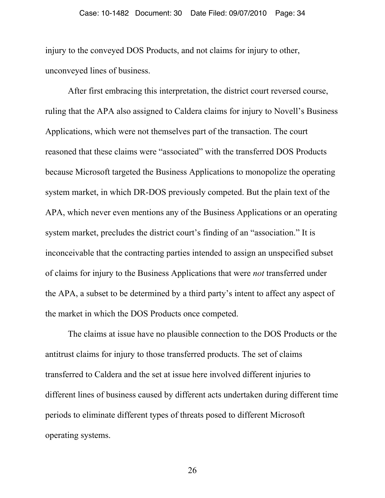injury to the conveyed DOS Products, and not claims for injury to other, unconveyed lines of business.

After first embracing this interpretation, the district court reversed course, ruling that the APA also assigned to Caldera claims for injury to Novell's Business Applications, which were not themselves part of the transaction. The court reasoned that these claims were "associated" with the transferred DOS Products because Microsoft targeted the Business Applications to monopolize the operating system market, in which DR-DOS previously competed. But the plain text of the APA, which never even mentions any of the Business Applications or an operating system market, precludes the district court's finding of an "association." It is inconceivable that the contracting parties intended to assign an unspecified subset of claims for injury to the Business Applications that were *not* transferred under the APA, a subset to be determined by a third party's intent to affect any aspect of the market in which the DOS Products once competed.

The claims at issue have no plausible connection to the DOS Products or the antitrust claims for injury to those transferred products. The set of claims transferred to Caldera and the set at issue here involved different injuries to different lines of business caused by different acts undertaken during different time periods to eliminate different types of threats posed to different Microsoft operating systems.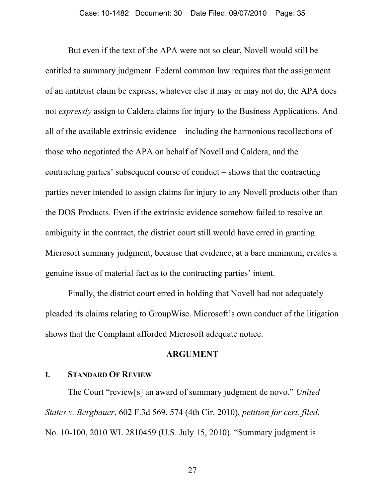But even if the text of the APA were not so clear, Novell would still be entitled to summary judgment. Federal common law requires that the assignment of an antitrust claim be express; whatever else it may or may not do, the APA does not *expressly* assign to Caldera claims for injury to the Business Applications. And all of the available extrinsic evidence – including the harmonious recollections of those who negotiated the APA on behalf of Novell and Caldera, and the contracting parties' subsequent course of conduct – shows that the contracting parties never intended to assign claims for injury to any Novell products other than the DOS Products. Even if the extrinsic evidence somehow failed to resolve an ambiguity in the contract, the district court still would have erred in granting Microsoft summary judgment, because that evidence, at a bare minimum, creates a genuine issue of material fact as to the contracting parties' intent.

Finally, the district court erred in holding that Novell had not adequately pleaded its claims relating to GroupWise. Microsoft's own conduct of the litigation shows that the Complaint afforded Microsoft adequate notice.

#### **ARGUMENT**

#### **I. STANDARD OF REVIEW**

The Court "review[s] an award of summary judgment de novo." *United States v. Bergbauer*, 602 F.3d 569, 574 (4th Cir. 2010), *petition for cert. filed*, No. 10-100, 2010 WL 2810459 (U.S. July 15, 2010). "Summary judgment is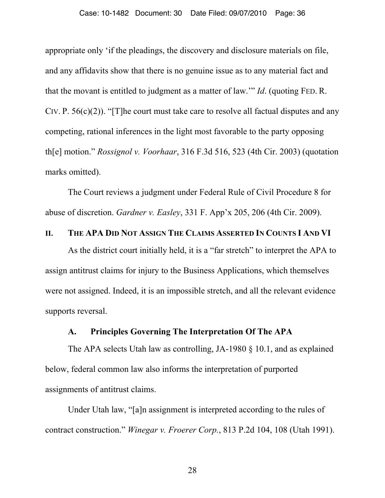appropriate only 'if the pleadings, the discovery and disclosure materials on file, and any affidavits show that there is no genuine issue as to any material fact and that the movant is entitled to judgment as a matter of law.'" *Id*. (quoting FED. R. CIV. P.  $56(c)(2)$ ). "[T]he court must take care to resolve all factual disputes and any competing, rational inferences in the light most favorable to the party opposing th[e] motion." *Rossignol v. Voorhaar*, 316 F.3d 516, 523 (4th Cir. 2003) (quotation marks omitted).

The Court reviews a judgment under Federal Rule of Civil Procedure 8 for abuse of discretion. *Gardner v. Easley*, 331 F. App'x 205, 206 (4th Cir. 2009).

### **II. THE APA DID NOT ASSIGN THE CLAIMS ASSERTED IN COUNTS I AND VI**

As the district court initially held, it is a "far stretch" to interpret the APA to assign antitrust claims for injury to the Business Applications, which themselves were not assigned. Indeed, it is an impossible stretch, and all the relevant evidence supports reversal.

### **A. Principles Governing The Interpretation Of The APA**

The APA selects Utah law as controlling, JA-1980 § 10.1, and as explained below, federal common law also informs the interpretation of purported assignments of antitrust claims.

Under Utah law, "[a]n assignment is interpreted according to the rules of contract construction." *Winegar v. Froerer Corp.*, 813 P.2d 104, 108 (Utah 1991).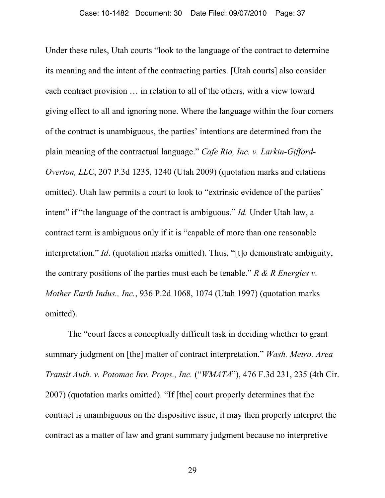Under these rules, Utah courts "look to the language of the contract to determine its meaning and the intent of the contracting parties. [Utah courts] also consider each contract provision … in relation to all of the others, with a view toward giving effect to all and ignoring none. Where the language within the four corners of the contract is unambiguous, the parties' intentions are determined from the plain meaning of the contractual language." *Cafe Rio, Inc. v. Larkin-Gifford-Overton, LLC*, 207 P.3d 1235, 1240 (Utah 2009) (quotation marks and citations omitted). Utah law permits a court to look to "extrinsic evidence of the parties' intent" if "the language of the contract is ambiguous." *Id.* Under Utah law, a contract term is ambiguous only if it is "capable of more than one reasonable interpretation." *Id*. (quotation marks omitted). Thus, "[t]o demonstrate ambiguity, the contrary positions of the parties must each be tenable." *R & R Energies v. Mother Earth Indus., Inc.*, 936 P.2d 1068, 1074 (Utah 1997) (quotation marks omitted).

The "court faces a conceptually difficult task in deciding whether to grant summary judgment on [the] matter of contract interpretation." *Wash. Metro. Area Transit Auth. v. Potomac Inv. Props., Inc.* ("*WMATA*"), 476 F.3d 231, 235 (4th Cir. 2007) (quotation marks omitted). "If [the] court properly determines that the contract is unambiguous on the dispositive issue, it may then properly interpret the contract as a matter of law and grant summary judgment because no interpretive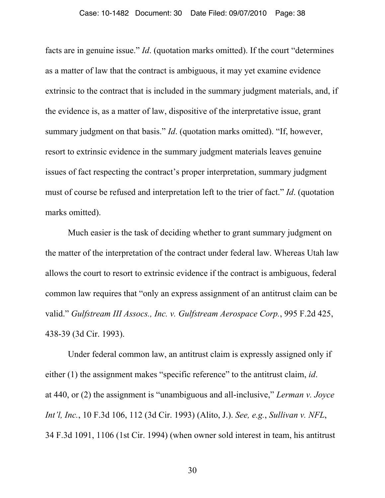facts are in genuine issue." *Id*. (quotation marks omitted). If the court "determines as a matter of law that the contract is ambiguous, it may yet examine evidence extrinsic to the contract that is included in the summary judgment materials, and, if the evidence is, as a matter of law, dispositive of the interpretative issue, grant summary judgment on that basis." *Id*. (quotation marks omitted). "If, however, resort to extrinsic evidence in the summary judgment materials leaves genuine issues of fact respecting the contract's proper interpretation, summary judgment must of course be refused and interpretation left to the trier of fact." *Id*. (quotation marks omitted).

Much easier is the task of deciding whether to grant summary judgment on the matter of the interpretation of the contract under federal law. Whereas Utah law allows the court to resort to extrinsic evidence if the contract is ambiguous, federal common law requires that "only an express assignment of an antitrust claim can be valid." *Gulfstream III Assocs., Inc. v. Gulfstream Aerospace Corp.*, 995 F.2d 425, 438-39 (3d Cir. 1993).

Under federal common law, an antitrust claim is expressly assigned only if either (1) the assignment makes "specific reference" to the antitrust claim, *id*. at 440, or (2) the assignment is "unambiguous and all-inclusive," *Lerman v. Joyce Int'l, Inc.*, 10 F.3d 106, 112 (3d Cir. 1993) (Alito, J.). *See, e.g.*, *Sullivan v. NFL*, 34 F.3d 1091, 1106 (1st Cir. 1994) (when owner sold interest in team, his antitrust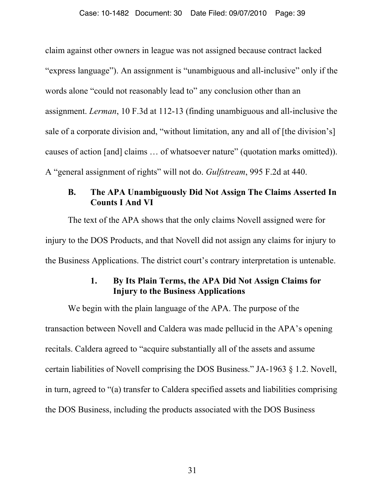claim against other owners in league was not assigned because contract lacked "express language"). An assignment is "unambiguous and all-inclusive" only if the words alone "could not reasonably lead to" any conclusion other than an assignment. *Lerman*, 10 F.3d at 112-13 (finding unambiguous and all-inclusive the sale of a corporate division and, "without limitation, any and all of [the division's] causes of action [and] claims … of whatsoever nature" (quotation marks omitted)). A "general assignment of rights" will not do. *Gulfstream*, 995 F.2d at 440.

# **B. The APA Unambiguously Did Not Assign The Claims Asserted In Counts I And VI**

The text of the APA shows that the only claims Novell assigned were for injury to the DOS Products, and that Novell did not assign any claims for injury to the Business Applications. The district court's contrary interpretation is untenable.

# **1. By Its Plain Terms, the APA Did Not Assign Claims for Injury to the Business Applications**

We begin with the plain language of the APA. The purpose of the transaction between Novell and Caldera was made pellucid in the APA's opening recitals. Caldera agreed to "acquire substantially all of the assets and assume certain liabilities of Novell comprising the DOS Business." JA-1963 § 1.2. Novell, in turn, agreed to "(a) transfer to Caldera specified assets and liabilities comprising the DOS Business, including the products associated with the DOS Business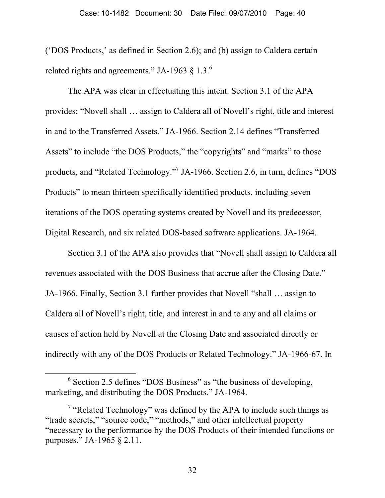('DOS Products,' as defined in Section 2.6); and (b) assign to Caldera certain related rights and agreements." JA-1963  $\S$  1.3.<sup>6</sup>

The APA was clear in effectuating this intent. Section 3.1 of the APA provides: "Novell shall … assign to Caldera all of Novell's right, title and interest in and to the Transferred Assets." JA-1966. Section 2.14 defines "Transferred Assets" to include "the DOS Products," the "copyrights" and "marks" to those products, and "Related Technology."<sup>7</sup> JA-1966. Section 2.6, in turn, defines "DOS Products" to mean thirteen specifically identified products, including seven iterations of the DOS operating systems created by Novell and its predecessor, Digital Research, and six related DOS-based software applications. JA-1964.

Section 3.1 of the APA also provides that "Novell shall assign to Caldera all revenues associated with the DOS Business that accrue after the Closing Date." JA-1966. Finally, Section 3.1 further provides that Novell "shall … assign to Caldera all of Novell's right, title, and interest in and to any and all claims or causes of action held by Novell at the Closing Date and associated directly or indirectly with any of the DOS Products or Related Technology." JA-1966-67. In

 <sup>6</sup>  $\frac{6}{5}$  Section 2.5 defines "DOS Business" as "the business of developing, marketing, and distributing the DOS Products." JA-1964.

<sup>&</sup>lt;sup>7</sup> "Related Technology" was defined by the APA to include such things as "trade secrets," "source code," "methods," and other intellectual property "necessary to the performance by the DOS Products of their intended functions or purposes." JA-1965 § 2.11.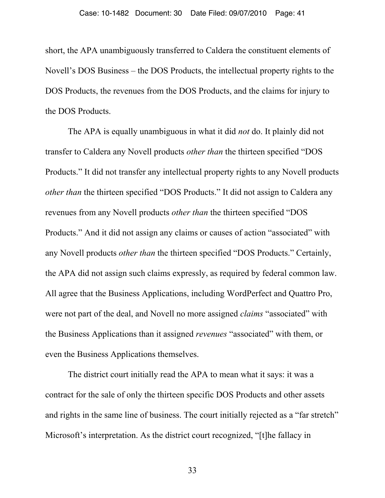short, the APA unambiguously transferred to Caldera the constituent elements of Novell's DOS Business – the DOS Products, the intellectual property rights to the DOS Products, the revenues from the DOS Products, and the claims for injury to the DOS Products.

The APA is equally unambiguous in what it did *not* do. It plainly did not transfer to Caldera any Novell products *other than* the thirteen specified "DOS Products." It did not transfer any intellectual property rights to any Novell products *other than* the thirteen specified "DOS Products." It did not assign to Caldera any revenues from any Novell products *other than* the thirteen specified "DOS Products." And it did not assign any claims or causes of action "associated" with any Novell products *other than* the thirteen specified "DOS Products." Certainly, the APA did not assign such claims expressly, as required by federal common law. All agree that the Business Applications, including WordPerfect and Quattro Pro, were not part of the deal, and Novell no more assigned *claims* "associated" with the Business Applications than it assigned *revenues* "associated" with them, or even the Business Applications themselves.

The district court initially read the APA to mean what it says: it was a contract for the sale of only the thirteen specific DOS Products and other assets and rights in the same line of business. The court initially rejected as a "far stretch" Microsoft's interpretation. As the district court recognized, "[t]he fallacy in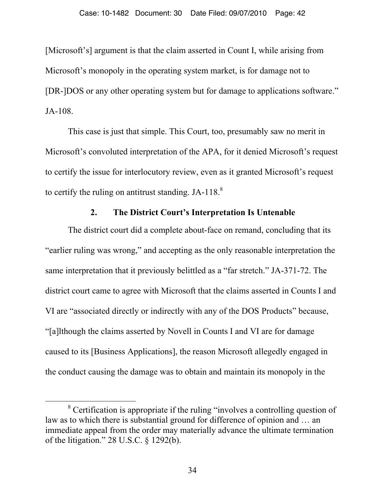[Microsoft's] argument is that the claim asserted in Count I, while arising from Microsoft's monopoly in the operating system market, is for damage not to [DR-]DOS or any other operating system but for damage to applications software." JA-108.

This case is just that simple. This Court, too, presumably saw no merit in Microsoft's convoluted interpretation of the APA, for it denied Microsoft's request to certify the issue for interlocutory review, even as it granted Microsoft's request to certify the ruling on antitrust standing. JA-118. $8$ 

#### **2. The District Court's Interpretation Is Untenable**

The district court did a complete about-face on remand, concluding that its "earlier ruling was wrong," and accepting as the only reasonable interpretation the same interpretation that it previously belittled as a "far stretch." JA-371-72. The district court came to agree with Microsoft that the claims asserted in Counts I and VI are "associated directly or indirectly with any of the DOS Products" because, "[a]lthough the claims asserted by Novell in Counts I and VI are for damage caused to its [Business Applications], the reason Microsoft allegedly engaged in the conduct causing the damage was to obtain and maintain its monopoly in the

 <sup>8</sup> Certification is appropriate if the ruling "involves a controlling question of law as to which there is substantial ground for difference of opinion and … an immediate appeal from the order may materially advance the ultimate termination of the litigation." 28 U.S.C. § 1292(b).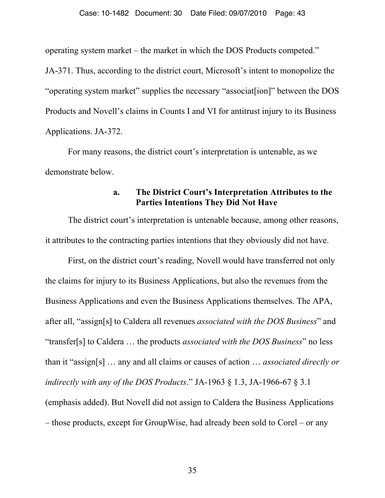operating system market – the market in which the DOS Products competed."

JA-371. Thus, according to the district court, Microsoft's intent to monopolize the "operating system market" supplies the necessary "associat[ion]" between the DOS Products and Novell's claims in Counts I and VI for antitrust injury to its Business Applications. JA-372.

For many reasons, the district court's interpretation is untenable, as we demonstrate below.

#### **a. The District Court's Interpretation Attributes to the Parties Intentions They Did Not Have**

The district court's interpretation is untenable because, among other reasons, it attributes to the contracting parties intentions that they obviously did not have.

First, on the district court's reading, Novell would have transferred not only the claims for injury to its Business Applications, but also the revenues from the Business Applications and even the Business Applications themselves. The APA, after all, "assign[s] to Caldera all revenues *associated with the DOS Business*" and "transfer[s] to Caldera … the products *associated with the DOS Business*" no less than it "assign[s] … any and all claims or causes of action … *associated directly or indirectly with any of the DOS Products*." JA-1963 § 1.3, JA-1966-67 § 3.1 (emphasis added). But Novell did not assign to Caldera the Business Applications – those products, except for GroupWise, had already been sold to Corel – or any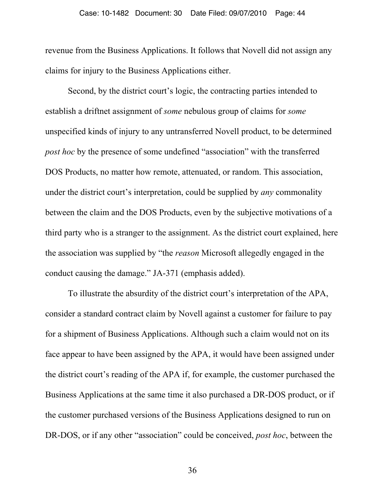revenue from the Business Applications. It follows that Novell did not assign any claims for injury to the Business Applications either.

Second, by the district court's logic, the contracting parties intended to establish a driftnet assignment of *some* nebulous group of claims for *some* unspecified kinds of injury to any untransferred Novell product, to be determined *post hoc* by the presence of some undefined "association" with the transferred DOS Products, no matter how remote, attenuated, or random. This association, under the district court's interpretation, could be supplied by *any* commonality between the claim and the DOS Products, even by the subjective motivations of a third party who is a stranger to the assignment. As the district court explained, here the association was supplied by "the *reason* Microsoft allegedly engaged in the conduct causing the damage." JA-371 (emphasis added).

To illustrate the absurdity of the district court's interpretation of the APA, consider a standard contract claim by Novell against a customer for failure to pay for a shipment of Business Applications. Although such a claim would not on its face appear to have been assigned by the APA, it would have been assigned under the district court's reading of the APA if, for example, the customer purchased the Business Applications at the same time it also purchased a DR-DOS product, or if the customer purchased versions of the Business Applications designed to run on DR-DOS, or if any other "association" could be conceived, *post hoc*, between the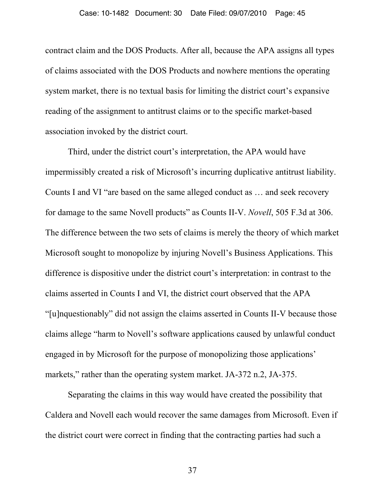contract claim and the DOS Products. After all, because the APA assigns all types of claims associated with the DOS Products and nowhere mentions the operating system market, there is no textual basis for limiting the district court's expansive reading of the assignment to antitrust claims or to the specific market-based association invoked by the district court.

Third, under the district court's interpretation, the APA would have impermissibly created a risk of Microsoft's incurring duplicative antitrust liability. Counts I and VI "are based on the same alleged conduct as … and seek recovery for damage to the same Novell products" as Counts II-V. *Novell*, 505 F.3d at 306. The difference between the two sets of claims is merely the theory of which market Microsoft sought to monopolize by injuring Novell's Business Applications. This difference is dispositive under the district court's interpretation: in contrast to the claims asserted in Counts I and VI, the district court observed that the APA "[u]nquestionably" did not assign the claims asserted in Counts II-V because those claims allege "harm to Novell's software applications caused by unlawful conduct engaged in by Microsoft for the purpose of monopolizing those applications' markets," rather than the operating system market. JA-372 n.2, JA-375.

Separating the claims in this way would have created the possibility that Caldera and Novell each would recover the same damages from Microsoft. Even if the district court were correct in finding that the contracting parties had such a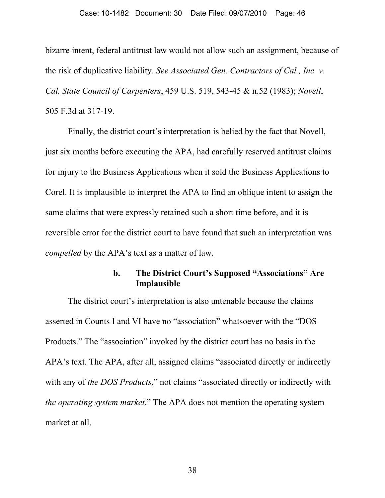#### Case: 10-1482 Document: 30 Date Filed: 09/07/2010 Page: 46

bizarre intent, federal antitrust law would not allow such an assignment, because of the risk of duplicative liability. *See Associated Gen. Contractors of Cal., Inc. v. Cal. State Council of Carpenters*, 459 U.S. 519, 543-45 & n.52 (1983); *Novell*, 505 F.3d at 317-19.

Finally, the district court's interpretation is belied by the fact that Novell, just six months before executing the APA, had carefully reserved antitrust claims for injury to the Business Applications when it sold the Business Applications to Corel. It is implausible to interpret the APA to find an oblique intent to assign the same claims that were expressly retained such a short time before, and it is reversible error for the district court to have found that such an interpretation was *compelled* by the APA's text as a matter of law.

### **b. The District Court's Supposed "Associations" Are Implausible**

The district court's interpretation is also untenable because the claims asserted in Counts I and VI have no "association" whatsoever with the "DOS Products." The "association" invoked by the district court has no basis in the APA's text. The APA, after all, assigned claims "associated directly or indirectly with any of *the DOS Products*," not claims "associated directly or indirectly with *the operating system market*." The APA does not mention the operating system market at all.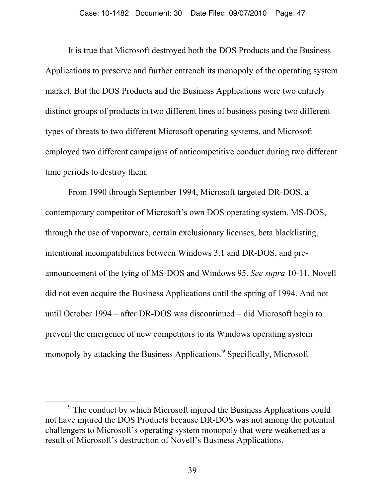It is true that Microsoft destroyed both the DOS Products and the Business Applications to preserve and further entrench its monopoly of the operating system market. But the DOS Products and the Business Applications were two entirely distinct groups of products in two different lines of business posing two different types of threats to two different Microsoft operating systems, and Microsoft employed two different campaigns of anticompetitive conduct during two different time periods to destroy them.

From 1990 through September 1994, Microsoft targeted DR-DOS, a contemporary competitor of Microsoft's own DOS operating system, MS-DOS, through the use of vaporware, certain exclusionary licenses, beta blacklisting, intentional incompatibilities between Windows 3.1 and DR-DOS, and preannouncement of the tying of MS-DOS and Windows 95. *See supra* 10-11. Novell did not even acquire the Business Applications until the spring of 1994. And not until October 1994 – after DR-DOS was discontinued – did Microsoft begin to prevent the emergence of new competitors to its Windows operating system monopoly by attacking the Business Applications.<sup>9</sup> Specifically, Microsoft

 $\overline{9}$ <sup>9</sup> The conduct by which Microsoft injured the Business Applications could not have injured the DOS Products because DR-DOS was not among the potential challengers to Microsoft's operating system monopoly that were weakened as a result of Microsoft's destruction of Novell's Business Applications.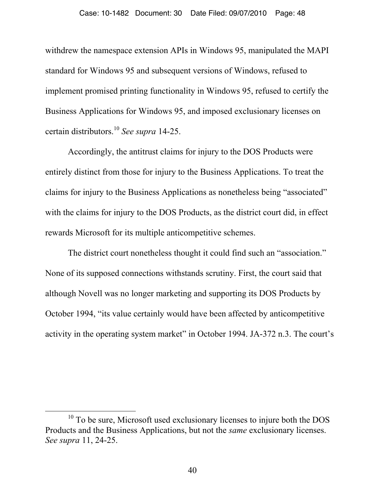withdrew the namespace extension APIs in Windows 95, manipulated the MAPI standard for Windows 95 and subsequent versions of Windows, refused to implement promised printing functionality in Windows 95, refused to certify the Business Applications for Windows 95, and imposed exclusionary licenses on certain distributors.10 *See supra* 14-25.

Accordingly, the antitrust claims for injury to the DOS Products were entirely distinct from those for injury to the Business Applications. To treat the claims for injury to the Business Applications as nonetheless being "associated" with the claims for injury to the DOS Products, as the district court did, in effect rewards Microsoft for its multiple anticompetitive schemes.

The district court nonetheless thought it could find such an "association." None of its supposed connections withstands scrutiny. First, the court said that although Novell was no longer marketing and supporting its DOS Products by October 1994, "its value certainly would have been affected by anticompetitive activity in the operating system market" in October 1994. JA-372 n.3. The court's

<sup>&</sup>lt;sup>10</sup> To be sure, Microsoft used exclusionary licenses to injure both the DOS Products and the Business Applications, but not the *same* exclusionary licenses. *See supra* 11, 24-25.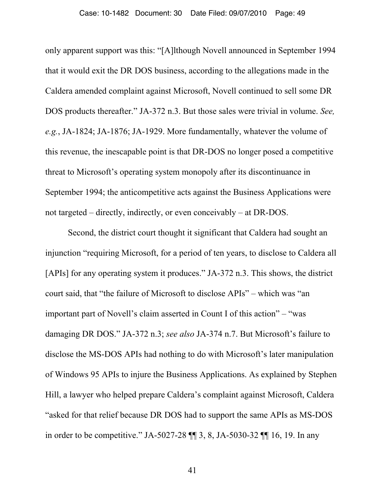only apparent support was this: "[A]lthough Novell announced in September 1994 that it would exit the DR DOS business, according to the allegations made in the Caldera amended complaint against Microsoft, Novell continued to sell some DR DOS products thereafter." JA-372 n.3. But those sales were trivial in volume. *See, e.g.*, JA-1824; JA-1876; JA-1929. More fundamentally, whatever the volume of this revenue, the inescapable point is that DR-DOS no longer posed a competitive threat to Microsoft's operating system monopoly after its discontinuance in September 1994; the anticompetitive acts against the Business Applications were not targeted – directly, indirectly, or even conceivably – at DR-DOS.

Second, the district court thought it significant that Caldera had sought an injunction "requiring Microsoft, for a period of ten years, to disclose to Caldera all [APIs] for any operating system it produces." JA-372 n.3. This shows, the district court said, that "the failure of Microsoft to disclose APIs" – which was "an important part of Novell's claim asserted in Count I of this action" – "was damaging DR DOS." JA-372 n.3; *see also* JA-374 n.7. But Microsoft's failure to disclose the MS-DOS APIs had nothing to do with Microsoft's later manipulation of Windows 95 APIs to injure the Business Applications. As explained by Stephen Hill, a lawyer who helped prepare Caldera's complaint against Microsoft, Caldera "asked for that relief because DR DOS had to support the same APIs as MS-DOS in order to be competitive." JA-5027-28 ¶¶ 3, 8, JA-5030-32 ¶¶ 16, 19. In any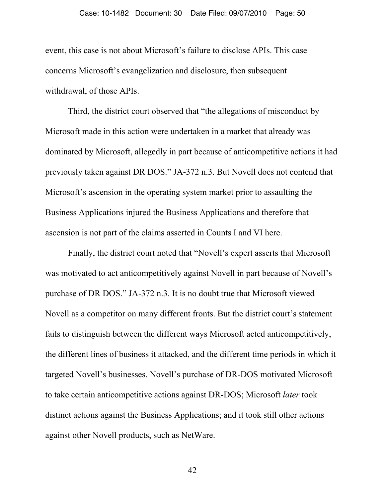event, this case is not about Microsoft's failure to disclose APIs. This case concerns Microsoft's evangelization and disclosure, then subsequent withdrawal, of those APIs.

Third, the district court observed that "the allegations of misconduct by Microsoft made in this action were undertaken in a market that already was dominated by Microsoft, allegedly in part because of anticompetitive actions it had previously taken against DR DOS." JA-372 n.3. But Novell does not contend that Microsoft's ascension in the operating system market prior to assaulting the Business Applications injured the Business Applications and therefore that ascension is not part of the claims asserted in Counts I and VI here.

Finally, the district court noted that "Novell's expert asserts that Microsoft was motivated to act anticompetitively against Novell in part because of Novell's purchase of DR DOS." JA-372 n.3. It is no doubt true that Microsoft viewed Novell as a competitor on many different fronts. But the district court's statement fails to distinguish between the different ways Microsoft acted anticompetitively, the different lines of business it attacked, and the different time periods in which it targeted Novell's businesses. Novell's purchase of DR-DOS motivated Microsoft to take certain anticompetitive actions against DR-DOS; Microsoft *later* took distinct actions against the Business Applications; and it took still other actions against other Novell products, such as NetWare.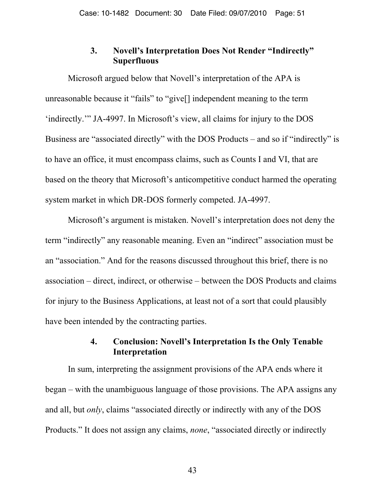## **3. Novell's Interpretation Does Not Render "Indirectly" Superfluous**

Microsoft argued below that Novell's interpretation of the APA is unreasonable because it "fails" to "give[] independent meaning to the term 'indirectly.'" JA-4997. In Microsoft's view, all claims for injury to the DOS Business are "associated directly" with the DOS Products – and so if "indirectly" is to have an office, it must encompass claims, such as Counts I and VI, that are based on the theory that Microsoft's anticompetitive conduct harmed the operating system market in which DR-DOS formerly competed. JA-4997.

Microsoft's argument is mistaken. Novell's interpretation does not deny the term "indirectly" any reasonable meaning. Even an "indirect" association must be an "association." And for the reasons discussed throughout this brief, there is no association – direct, indirect, or otherwise – between the DOS Products and claims for injury to the Business Applications, at least not of a sort that could plausibly have been intended by the contracting parties.

# **4. Conclusion: Novell's Interpretation Is the Only Tenable Interpretation**

In sum, interpreting the assignment provisions of the APA ends where it began – with the unambiguous language of those provisions. The APA assigns any and all, but *only*, claims "associated directly or indirectly with any of the DOS Products." It does not assign any claims, *none*, "associated directly or indirectly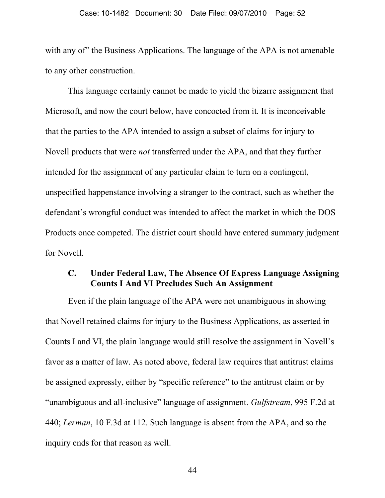#### Case: 10-1482 Document: 30 Date Filed: 09/07/2010 Page: 52

with any of" the Business Applications. The language of the APA is not amenable to any other construction.

This language certainly cannot be made to yield the bizarre assignment that Microsoft, and now the court below, have concocted from it. It is inconceivable that the parties to the APA intended to assign a subset of claims for injury to Novell products that were *not* transferred under the APA, and that they further intended for the assignment of any particular claim to turn on a contingent, unspecified happenstance involving a stranger to the contract, such as whether the defendant's wrongful conduct was intended to affect the market in which the DOS Products once competed. The district court should have entered summary judgment for Novell.

### **C. Under Federal Law, The Absence Of Express Language Assigning Counts I And VI Precludes Such An Assignment**

Even if the plain language of the APA were not unambiguous in showing that Novell retained claims for injury to the Business Applications, as asserted in Counts I and VI, the plain language would still resolve the assignment in Novell's favor as a matter of law. As noted above, federal law requires that antitrust claims be assigned expressly, either by "specific reference" to the antitrust claim or by "unambiguous and all-inclusive" language of assignment. *Gulfstream*, 995 F.2d at 440; *Lerman*, 10 F.3d at 112. Such language is absent from the APA, and so the inquiry ends for that reason as well.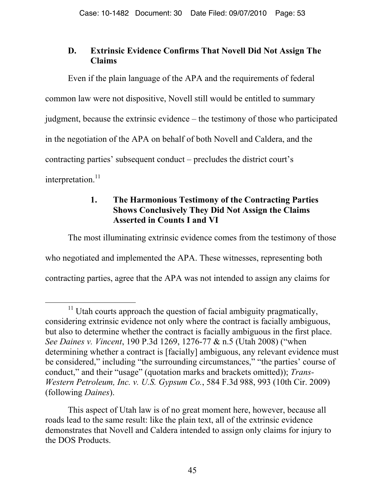# **D. Extrinsic Evidence Confirms That Novell Did Not Assign The Claims**

Even if the plain language of the APA and the requirements of federal common law were not dispositive, Novell still would be entitled to summary judgment, because the extrinsic evidence – the testimony of those who participated in the negotiation of the APA on behalf of both Novell and Caldera, and the contracting parties' subsequent conduct – precludes the district court's interpretation. $^{11}$ 

# **1. The Harmonious Testimony of the Contracting Parties Shows Conclusively They Did Not Assign the Claims Asserted in Counts I and VI**

The most illuminating extrinsic evidence comes from the testimony of those who negotiated and implemented the APA. These witnesses, representing both contracting parties, agree that the APA was not intended to assign any claims for

 $11$  Utah courts approach the question of facial ambiguity pragmatically, considering extrinsic evidence not only where the contract is facially ambiguous, but also to determine whether the contract is facially ambiguous in the first place. *See Daines v. Vincent*, 190 P.3d 1269, 1276-77 & n.5 (Utah 2008) ("when determining whether a contract is [facially] ambiguous, any relevant evidence must be considered," including "the surrounding circumstances," "the parties' course of conduct," and their "usage" (quotation marks and brackets omitted)); *Trans-Western Petroleum, Inc. v. U.S. Gypsum Co.*, 584 F.3d 988, 993 (10th Cir. 2009) (following *Daines*).

This aspect of Utah law is of no great moment here, however, because all roads lead to the same result: like the plain text, all of the extrinsic evidence demonstrates that Novell and Caldera intended to assign only claims for injury to the DOS Products.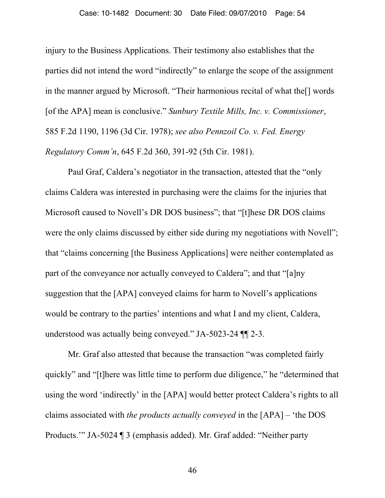#### Case: 10-1482 Document: 30 Date Filed: 09/07/2010 Page: 54

injury to the Business Applications. Their testimony also establishes that the parties did not intend the word "indirectly" to enlarge the scope of the assignment in the manner argued by Microsoft. "Their harmonious recital of what the[] words [of the APA] mean is conclusive." *Sunbury Textile Mills, Inc. v. Commissioner*, 585 F.2d 1190, 1196 (3d Cir. 1978); *see also Pennzoil Co. v. Fed. Energy Regulatory Comm'n*, 645 F.2d 360, 391-92 (5th Cir. 1981).

Paul Graf, Caldera's negotiator in the transaction, attested that the "only claims Caldera was interested in purchasing were the claims for the injuries that Microsoft caused to Novell's DR DOS business"; that "[t]hese DR DOS claims were the only claims discussed by either side during my negotiations with Novell"; that "claims concerning [the Business Applications] were neither contemplated as part of the conveyance nor actually conveyed to Caldera"; and that "[a]ny suggestion that the [APA] conveyed claims for harm to Novell's applications would be contrary to the parties' intentions and what I and my client, Caldera, understood was actually being conveyed." JA-5023-24 ¶¶ 2-3.

Mr. Graf also attested that because the transaction "was completed fairly quickly" and "[t]here was little time to perform due diligence," he "determined that using the word 'indirectly' in the [APA] would better protect Caldera's rights to all claims associated with *the products actually conveyed* in the [APA] – 'the DOS Products.'" JA-5024 ¶ 3 (emphasis added). Mr. Graf added: "Neither party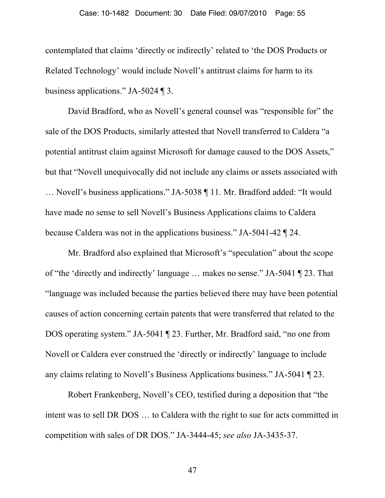contemplated that claims 'directly or indirectly' related to 'the DOS Products or Related Technology' would include Novell's antitrust claims for harm to its business applications." JA-5024 ¶ 3.

David Bradford, who as Novell's general counsel was "responsible for" the sale of the DOS Products, similarly attested that Novell transferred to Caldera "a potential antitrust claim against Microsoft for damage caused to the DOS Assets," but that "Novell unequivocally did not include any claims or assets associated with … Novell's business applications." JA-5038 ¶ 11. Mr. Bradford added: "It would have made no sense to sell Novell's Business Applications claims to Caldera because Caldera was not in the applications business." JA-5041-42 ¶ 24.

Mr. Bradford also explained that Microsoft's "speculation" about the scope of "the 'directly and indirectly' language … makes no sense." JA-5041 ¶ 23. That "language was included because the parties believed there may have been potential causes of action concerning certain patents that were transferred that related to the DOS operating system." JA-5041 ¶ 23. Further, Mr. Bradford said, "no one from Novell or Caldera ever construed the 'directly or indirectly' language to include any claims relating to Novell's Business Applications business." JA-5041 ¶ 23.

Robert Frankenberg, Novell's CEO, testified during a deposition that "the intent was to sell DR DOS … to Caldera with the right to sue for acts committed in competition with sales of DR DOS." JA-3444-45; *see also* JA-3435-37.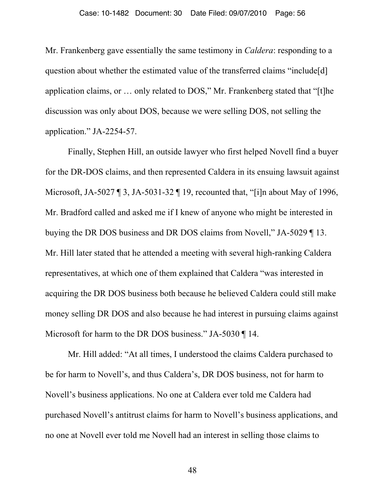Mr. Frankenberg gave essentially the same testimony in *Caldera*: responding to a question about whether the estimated value of the transferred claims "include[d] application claims, or … only related to DOS," Mr. Frankenberg stated that "[t]he discussion was only about DOS, because we were selling DOS, not selling the application." JA-2254-57.

Finally, Stephen Hill, an outside lawyer who first helped Novell find a buyer for the DR-DOS claims, and then represented Caldera in its ensuing lawsuit against Microsoft, JA-5027 ¶ 3, JA-5031-32 ¶ 19, recounted that, "[i]n about May of 1996, Mr. Bradford called and asked me if I knew of anyone who might be interested in buying the DR DOS business and DR DOS claims from Novell," JA-5029 ¶ 13. Mr. Hill later stated that he attended a meeting with several high-ranking Caldera representatives, at which one of them explained that Caldera "was interested in acquiring the DR DOS business both because he believed Caldera could still make money selling DR DOS and also because he had interest in pursuing claims against Microsoft for harm to the DR DOS business." JA-5030 ¶ 14.

Mr. Hill added: "At all times, I understood the claims Caldera purchased to be for harm to Novell's, and thus Caldera's, DR DOS business, not for harm to Novell's business applications. No one at Caldera ever told me Caldera had purchased Novell's antitrust claims for harm to Novell's business applications, and no one at Novell ever told me Novell had an interest in selling those claims to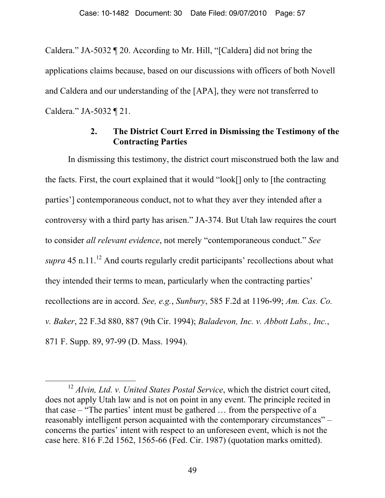Caldera." JA-5032 ¶ 20. According to Mr. Hill, "[Caldera] did not bring the applications claims because, based on our discussions with officers of both Novell and Caldera and our understanding of the [APA], they were not transferred to Caldera." JA-5032 ¶ 21.

# **2. The District Court Erred in Dismissing the Testimony of the Contracting Parties**

In dismissing this testimony, the district court misconstrued both the law and the facts. First, the court explained that it would "look[] only to [the contracting parties'] contemporaneous conduct, not to what they aver they intended after a controversy with a third party has arisen." JA-374. But Utah law requires the court to consider *all relevant evidence*, not merely "contemporaneous conduct." *See supra* 45 n.11.<sup>12</sup> And courts regularly credit participants' recollections about what they intended their terms to mean, particularly when the contracting parties' recollections are in accord. *See, e.g.*, *Sunbury*, 585 F.2d at 1196-99; *Am. Cas. Co. v. Baker*, 22 F.3d 880, 887 (9th Cir. 1994); *Baladevon, Inc. v. Abbott Labs., Inc.*, 871 F. Supp. 89, 97-99 (D. Mass. 1994).

 <sup>12</sup> *Alvin, Ltd. v. United States Postal Service*, which the district court cited, does not apply Utah law and is not on point in any event. The principle recited in that case – "The parties' intent must be gathered … from the perspective of a reasonably intelligent person acquainted with the contemporary circumstances" – concerns the parties' intent with respect to an unforeseen event, which is not the case here. 816 F.2d 1562, 1565-66 (Fed. Cir. 1987) (quotation marks omitted).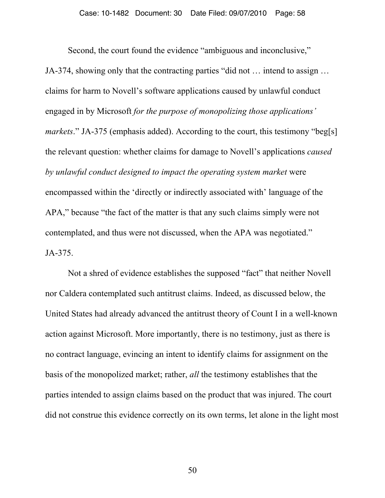Second, the court found the evidence "ambiguous and inconclusive," JA-374, showing only that the contracting parties "did not … intend to assign … claims for harm to Novell's software applications caused by unlawful conduct engaged in by Microsoft *for the purpose of monopolizing those applications' markets*." JA-375 (emphasis added). According to the court, this testimony "beg[s] the relevant question: whether claims for damage to Novell's applications *caused by unlawful conduct designed to impact the operating system market* were encompassed within the 'directly or indirectly associated with' language of the APA," because "the fact of the matter is that any such claims simply were not contemplated, and thus were not discussed, when the APA was negotiated." JA-375.

Not a shred of evidence establishes the supposed "fact" that neither Novell nor Caldera contemplated such antitrust claims. Indeed, as discussed below, the United States had already advanced the antitrust theory of Count I in a well-known action against Microsoft. More importantly, there is no testimony, just as there is no contract language, evincing an intent to identify claims for assignment on the basis of the monopolized market; rather, *all* the testimony establishes that the parties intended to assign claims based on the product that was injured. The court did not construe this evidence correctly on its own terms, let alone in the light most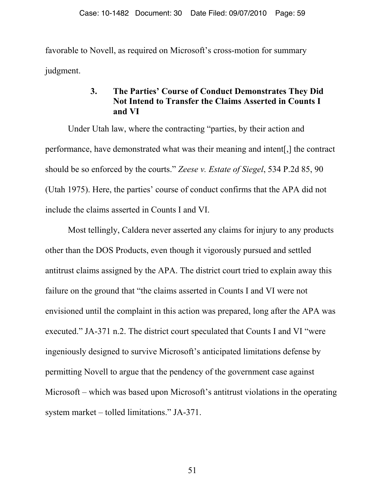favorable to Novell, as required on Microsoft's cross-motion for summary judgment.

# **3. The Parties' Course of Conduct Demonstrates They Did Not Intend to Transfer the Claims Asserted in Counts I and VI**

Under Utah law, where the contracting "parties, by their action and performance, have demonstrated what was their meaning and intent[,] the contract should be so enforced by the courts." *Zeese v. Estate of Siegel*, 534 P.2d 85, 90 (Utah 1975). Here, the parties' course of conduct confirms that the APA did not include the claims asserted in Counts I and VI.

Most tellingly, Caldera never asserted any claims for injury to any products other than the DOS Products, even though it vigorously pursued and settled antitrust claims assigned by the APA. The district court tried to explain away this failure on the ground that "the claims asserted in Counts I and VI were not envisioned until the complaint in this action was prepared, long after the APA was executed." JA-371 n.2. The district court speculated that Counts I and VI "were ingeniously designed to survive Microsoft's anticipated limitations defense by permitting Novell to argue that the pendency of the government case against Microsoft – which was based upon Microsoft's antitrust violations in the operating system market – tolled limitations." JA-371.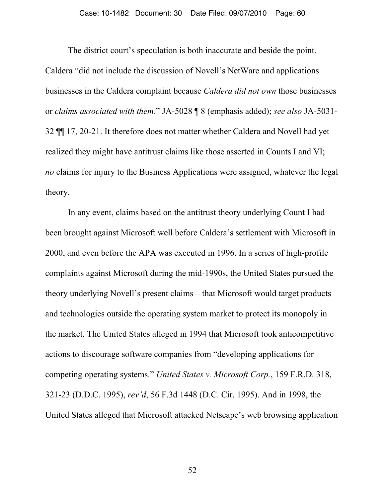The district court's speculation is both inaccurate and beside the point. Caldera "did not include the discussion of Novell's NetWare and applications businesses in the Caldera complaint because *Caldera did not own* those businesses or *claims associated with them*." JA-5028 ¶ 8 (emphasis added); *see also* JA-5031- 32 ¶¶ 17, 20-21. It therefore does not matter whether Caldera and Novell had yet realized they might have antitrust claims like those asserted in Counts I and VI; *no* claims for injury to the Business Applications were assigned, whatever the legal theory.

In any event, claims based on the antitrust theory underlying Count I had been brought against Microsoft well before Caldera's settlement with Microsoft in 2000, and even before the APA was executed in 1996. In a series of high-profile complaints against Microsoft during the mid-1990s, the United States pursued the theory underlying Novell's present claims – that Microsoft would target products and technologies outside the operating system market to protect its monopoly in the market. The United States alleged in 1994 that Microsoft took anticompetitive actions to discourage software companies from "developing applications for competing operating systems." *United States v. Microsoft Corp.*, 159 F.R.D. 318, 321-23 (D.D.C. 1995), *rev'd*, 56 F.3d 1448 (D.C. Cir. 1995). And in 1998, the United States alleged that Microsoft attacked Netscape's web browsing application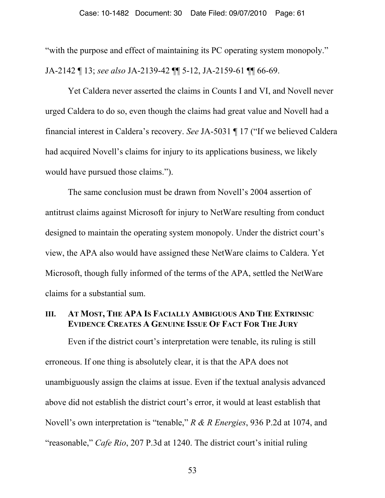"with the purpose and effect of maintaining its PC operating system monopoly." JA-2142 ¶ 13; *see also* JA-2139-42 ¶¶ 5-12, JA-2159-61 ¶¶ 66-69.

Yet Caldera never asserted the claims in Counts I and VI, and Novell never urged Caldera to do so, even though the claims had great value and Novell had a financial interest in Caldera's recovery. *See* JA-5031 ¶ 17 ("If we believed Caldera had acquired Novell's claims for injury to its applications business, we likely would have pursued those claims.").

The same conclusion must be drawn from Novell's 2004 assertion of antitrust claims against Microsoft for injury to NetWare resulting from conduct designed to maintain the operating system monopoly. Under the district court's view, the APA also would have assigned these NetWare claims to Caldera. Yet Microsoft, though fully informed of the terms of the APA, settled the NetWare claims for a substantial sum.

#### **III. AT MOST, THE APA IS FACIALLY AMBIGUOUS AND THE EXTRINSIC EVIDENCE CREATES A GENUINE ISSUE OF FACT FOR THE JURY**

Even if the district court's interpretation were tenable, its ruling is still erroneous. If one thing is absolutely clear, it is that the APA does not unambiguously assign the claims at issue. Even if the textual analysis advanced above did not establish the district court's error, it would at least establish that Novell's own interpretation is "tenable," *R & R Energies*, 936 P.2d at 1074, and "reasonable," *Cafe Rio*, 207 P.3d at 1240. The district court's initial ruling

<sup>53</sup>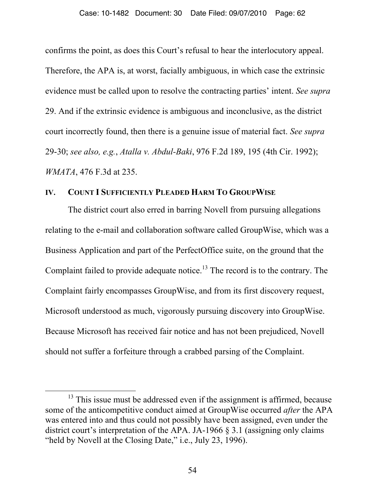confirms the point, as does this Court's refusal to hear the interlocutory appeal. Therefore, the APA is, at worst, facially ambiguous, in which case the extrinsic evidence must be called upon to resolve the contracting parties' intent. *See supra* 29. And if the extrinsic evidence is ambiguous and inconclusive, as the district court incorrectly found, then there is a genuine issue of material fact. *See supra*  29-30; *see also, e.g.*, *Atalla v. Abdul-Baki*, 976 F.2d 189, 195 (4th Cir. 1992); *WMATA*, 476 F.3d at 235.

#### **IV. COUNT I SUFFICIENTLY PLEADED HARM TO GROUPWISE**

The district court also erred in barring Novell from pursuing allegations relating to the e-mail and collaboration software called GroupWise, which was a Business Application and part of the PerfectOffice suite, on the ground that the Complaint failed to provide adequate notice.<sup>13</sup> The record is to the contrary. The Complaint fairly encompasses GroupWise, and from its first discovery request, Microsoft understood as much, vigorously pursuing discovery into GroupWise. Because Microsoft has received fair notice and has not been prejudiced, Novell should not suffer a forfeiture through a crabbed parsing of the Complaint.

 $13$  This issue must be addressed even if the assignment is affirmed, because some of the anticompetitive conduct aimed at GroupWise occurred *after* the APA was entered into and thus could not possibly have been assigned, even under the district court's interpretation of the APA. JA-1966 § 3.1 (assigning only claims "held by Novell at the Closing Date," i.e., July 23, 1996).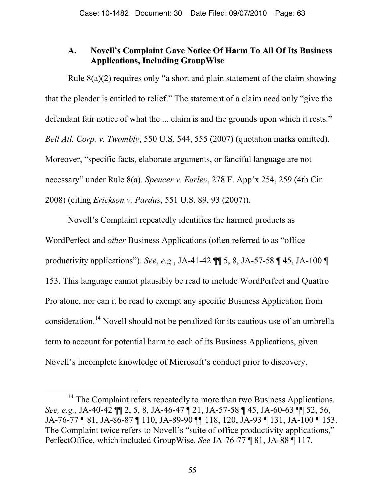# **A. Novell's Complaint Gave Notice Of Harm To All Of Its Business Applications, Including GroupWise**

Rule  $8(a)(2)$  requires only "a short and plain statement of the claim showing that the pleader is entitled to relief." The statement of a claim need only "give the defendant fair notice of what the ... claim is and the grounds upon which it rests." *Bell Atl. Corp. v. Twombly*, 550 U.S. 544, 555 (2007) (quotation marks omitted). Moreover, "specific facts, elaborate arguments, or fanciful language are not necessary" under Rule 8(a). *Spencer v. Earley*, 278 F. App'x 254, 259 (4th Cir. 2008) (citing *Erickson v. Pardus*, 551 U.S. 89, 93 (2007)).

Novell's Complaint repeatedly identifies the harmed products as WordPerfect and *other* Business Applications (often referred to as "office productivity applications"). *See, e.g.*, JA-41-42 ¶¶ 5, 8, JA-57-58 ¶ 45, JA-100 ¶ 153. This language cannot plausibly be read to include WordPerfect and Quattro Pro alone, nor can it be read to exempt any specific Business Application from consideration.14 Novell should not be penalized for its cautious use of an umbrella term to account for potential harm to each of its Business Applications, given Novell's incomplete knowledge of Microsoft's conduct prior to discovery.

<sup>&</sup>lt;sup>14</sup> The Complaint refers repeatedly to more than two Business Applications. *See, e.g.*, JA-40-42 ¶¶ 2, 5, 8, JA-46-47 ¶ 21, JA-57-58 ¶ 45, JA-60-63 ¶¶ 52, 56, JA-76-77 ¶ 81, JA-86-87 ¶ 110, JA-89-90 ¶¶ 118, 120, JA-93 ¶ 131, JA-100 ¶ 153. The Complaint twice refers to Novell's "suite of office productivity applications," PerfectOffice, which included GroupWise. *See* JA-76-77 ¶ 81, JA-88 ¶ 117.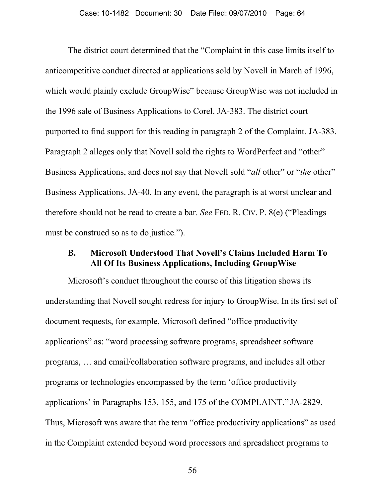The district court determined that the "Complaint in this case limits itself to anticompetitive conduct directed at applications sold by Novell in March of 1996, which would plainly exclude GroupWise" because GroupWise was not included in the 1996 sale of Business Applications to Corel. JA-383. The district court purported to find support for this reading in paragraph 2 of the Complaint. JA-383. Paragraph 2 alleges only that Novell sold the rights to WordPerfect and "other" Business Applications, and does not say that Novell sold "*all* other" or "*the* other" Business Applications. JA-40. In any event, the paragraph is at worst unclear and therefore should not be read to create a bar. *See* FED. R. CIV. P. 8(e) ("Pleadings must be construed so as to do justice.").

#### **B. Microsoft Understood That Novell's Claims Included Harm To All Of Its Business Applications, Including GroupWise**

Microsoft's conduct throughout the course of this litigation shows its understanding that Novell sought redress for injury to GroupWise. In its first set of document requests, for example, Microsoft defined "office productivity applications" as: "word processing software programs, spreadsheet software programs, … and email/collaboration software programs, and includes all other programs or technologies encompassed by the term 'office productivity applications' in Paragraphs 153, 155, and 175 of the COMPLAINT." JA-2829. Thus, Microsoft was aware that the term "office productivity applications" as used in the Complaint extended beyond word processors and spreadsheet programs to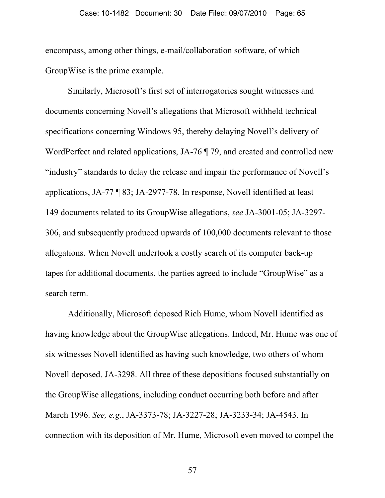encompass, among other things, e-mail/collaboration software, of which GroupWise is the prime example.

Similarly, Microsoft's first set of interrogatories sought witnesses and documents concerning Novell's allegations that Microsoft withheld technical specifications concerning Windows 95, thereby delaying Novell's delivery of WordPerfect and related applications, JA-76  $\P$  79, and created and controlled new "industry" standards to delay the release and impair the performance of Novell's applications, JA-77 ¶ 83; JA-2977-78. In response, Novell identified at least 149 documents related to its GroupWise allegations, *see* JA-3001-05; JA-3297- 306, and subsequently produced upwards of 100,000 documents relevant to those allegations. When Novell undertook a costly search of its computer back-up tapes for additional documents, the parties agreed to include "GroupWise" as a search term.

Additionally, Microsoft deposed Rich Hume, whom Novell identified as having knowledge about the GroupWise allegations. Indeed, Mr. Hume was one of six witnesses Novell identified as having such knowledge, two others of whom Novell deposed. JA-3298. All three of these depositions focused substantially on the GroupWise allegations, including conduct occurring both before and after March 1996. *See, e.g*., JA-3373-78; JA-3227-28; JA-3233-34; JA-4543. In connection with its deposition of Mr. Hume, Microsoft even moved to compel the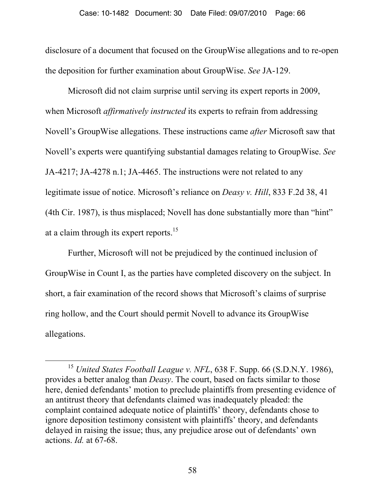disclosure of a document that focused on the GroupWise allegations and to re-open the deposition for further examination about GroupWise. *See* JA-129.

Microsoft did not claim surprise until serving its expert reports in 2009, when Microsoft *affirmatively instructed* its experts to refrain from addressing Novell's GroupWise allegations. These instructions came *after* Microsoft saw that Novell's experts were quantifying substantial damages relating to GroupWise. *See* JA-4217; JA-4278 n.1; JA-4465. The instructions were not related to any legitimate issue of notice. Microsoft's reliance on *Deasy v. Hill*, 833 F.2d 38, 41 (4th Cir. 1987), is thus misplaced; Novell has done substantially more than "hint" at a claim through its expert reports.<sup>15</sup>

Further, Microsoft will not be prejudiced by the continued inclusion of GroupWise in Count I, as the parties have completed discovery on the subject. In short, a fair examination of the record shows that Microsoft's claims of surprise ring hollow, and the Court should permit Novell to advance its GroupWise allegations.

<sup>&</sup>lt;sup>15</sup> United States Football League v. NFL, 638 F. Supp. 66 (S.D.N.Y. 1986), provides a better analog than *Deasy*. The court, based on facts similar to those here, denied defendants' motion to preclude plaintiffs from presenting evidence of an antitrust theory that defendants claimed was inadequately pleaded: the complaint contained adequate notice of plaintiffs' theory, defendants chose to ignore deposition testimony consistent with plaintiffs' theory, and defendants delayed in raising the issue; thus, any prejudice arose out of defendants' own actions. *Id.* at 67-68.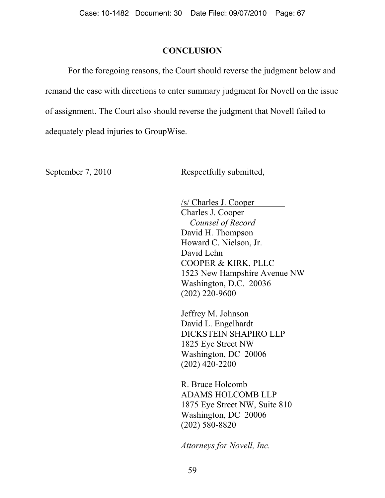## **CONCLUSION**

For the foregoing reasons, the Court should reverse the judgment below and remand the case with directions to enter summary judgment for Novell on the issue of assignment. The Court also should reverse the judgment that Novell failed to adequately plead injuries to GroupWise.

September 7, 2010 Respectfully submitted,

 /s/ Charles J. Cooper Charles J. Cooper *Counsel of Record*  David H. Thompson Howard C. Nielson, Jr. David Lehn COOPER & KIRK, PLLC 1523 New Hampshire Avenue NW Washington, D.C. 20036 (202) 220-9600

Jeffrey M. Johnson David L. Engelhardt DICKSTEIN SHAPIRO LLP 1825 Eye Street NW Washington, DC 20006 (202) 420-2200

R. Bruce Holcomb ADAMS HOLCOMB LLP 1875 Eye Street NW, Suite 810 Washington, DC 20006 (202) 580-8820

*Attorneys for Novell, Inc.*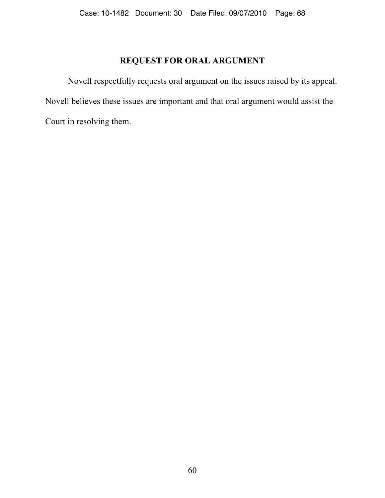# **REQUEST FOR ORAL ARGUMENT**

Novell respectfully requests oral argument on the issues raised by its appeal. Novell believes these issues are important and that oral argument would assist the Court in resolving them.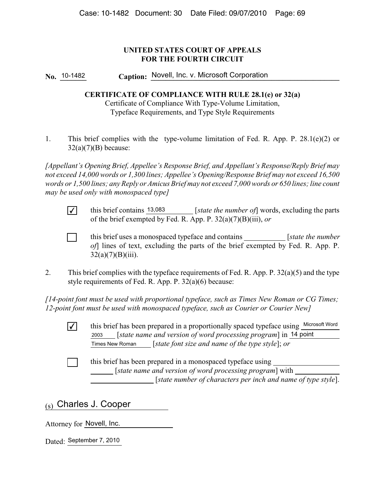#### **UNITED STATES COURT OF APPEALS FOR THE FOURTH CIRCUIT**

No. 10-1482 **Caption: Novell, Inc. v. Microsoft Corporation** 

#### **CERTIFICATE OF COMPLIANCE WITH RULE 28.1(e) or 32(a)**

Certificate of Compliance With Type-Volume Limitation, Typeface Requirements, and Type Style Requirements

1. This brief complies with the type-volume limitation of Fed. R. App. P. 28.1(e)(2) or  $32(a)(7)(B)$  because:

*[Appellant's Opening Brief, Appellee's Response Brief, and Appellant's Response/Reply Brief may not exceed 14,000 words or 1,300 lines; Appellee's Opening/Response Brief may not exceed 16,500 words or 1,500 lines; any Reply or Amicus Brief may not exceed 7,000 words or 650 lines; line count may be used only with monospaced type]*

 $\checkmark$  this brief contains  $\frac{13,083}{2}$  [*state the number of*] words, excluding the parts of the brief exempted by Fed. R. App. P. 32(a)(7)(B)(iii), *or*

[ ] this brief uses a monospaced typeface and contains [*state the number of*] lines of text, excluding the parts of the brief exempted by Fed. R. App. P.  $32(a)(7)(B)(iii)$ .

2. This brief complies with the typeface requirements of Fed. R. App. P. 32(a)(5) and the type style requirements of Fed. R. App. P. 32(a)(6) because:

*[14-point font must be used with proportional typeface, such as Times New Roman or CG Times; 12-point font must be used with monospaced typeface, such as Courier or Courier New]*

 $\sqrt{\phantom{a}}$  this brief has been prepared in a proportionally spaced typeface using  $\frac{\text{Microsoft Word}}{\phantom{a}}$  [*state name and version of word processing program*] in 2003 14 point [*state font size and name of the type style*]; *or* Times New Roman

[ ] this brief has been prepared in a monospaced typeface using [*state name and version of word processing program*] with [*state number of characters per inch and name of type style*].

# <sub>(s)</sub> Charles J. Cooper

Attorney for **Novell**, Inc.

Dated: September 7, 2010